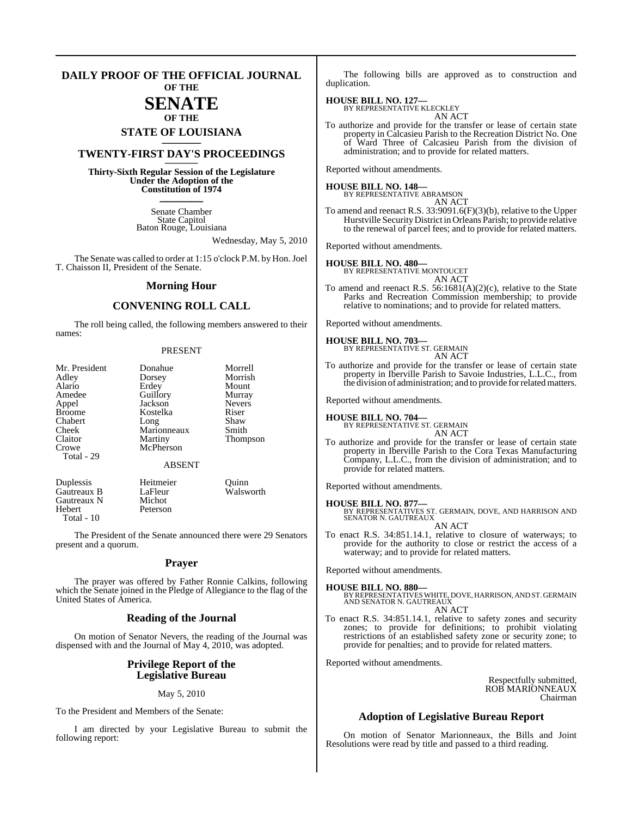#### **DAILY PROOF OF THE OFFICIAL JOURNAL OF THE**

## **SENATE OF THE**

# **STATE OF LOUISIANA \_\_\_\_\_\_\_**

## **TWENTY-FIRST DAY'S PROCEEDINGS \_\_\_\_\_\_\_**

**Thirty-Sixth Regular Session of the Legislature Under the Adoption of the Constitution of 1974 \_\_\_\_\_\_\_**

> Senate Chamber State Capitol Baton Rouge, Louisiana

> > Wednesday, May 5, 2010

The Senate was called to order at 1:15 o'clock P.M. by Hon. Joel T. Chaisson II, President of the Senate.

#### **Morning Hour**

### **CONVENING ROLL CALL**

The roll being called, the following members answered to their names:

#### PRESENT

| Mr. President      | Donahue        | Morrell       |
|--------------------|----------------|---------------|
|                    |                |               |
| Adley              | Dorsey         | Morrish       |
| Alario             | Erdey          | Mount         |
| Amedee             | Guillory       | Murray        |
| Appel              | Jackson        | <b>Nevers</b> |
| <b>Broome</b>      | Kostelka       | Riser         |
| Chabert            | Long           | Shaw          |
| Cheek              | Marionneaux    | Smith         |
| Claitor            | Martiny        | Thompson      |
| Crowe              | McPherson      |               |
| Total - 29         |                |               |
|                    | <b>ABSENT</b>  |               |
| Duplessis          | Heitmeier      | Ouinn         |
| Gautreaux B        | LaFleur        | Walsworth     |
| $C_{\text{out}}$ M | $M_{\rm{obs}}$ |               |

Gautreaux N Michot<br>
Hebert Peterso Peterson Total - 10

The President of the Senate announced there were 29 Senators present and a quorum.

#### **Prayer**

The prayer was offered by Father Ronnie Calkins, following which the Senate joined in the Pledge of Allegiance to the flag of the United States of America.

#### **Reading of the Journal**

On motion of Senator Nevers, the reading of the Journal was dispensed with and the Journal of May 4, 2010, was adopted.

#### **Privilege Report of the Legislative Bureau**

#### May 5, 2010

To the President and Members of the Senate:

I am directed by your Legislative Bureau to submit the following report:

The following bills are approved as to construction and duplication.

#### **HOUSE BILL NO. 127—**

BY REPRESENTATIVE KLECKLEY AN ACT

To authorize and provide for the transfer or lease of certain state property in Calcasieu Parish to the Recreation District No. One of Ward Three of Calcasieu Parish from the division of administration; and to provide for related matters.

Reported without amendments.

**HOUSE BILL NO. 148—** BY REPRESENTATIVE ABRAMSON AN ACT

To amend and reenact R.S. 33:9091.6(F)(3)(b), relative to the Upper Hurstville SecurityDistrict in Orleans Parish; to provide relative to the renewal of parcel fees; and to provide for related matters.

Reported without amendments.

#### **HOUSE BILL NO. 480—**

BY REPRESENTATIVE MONTOUCET

AN ACT To amend and reenact R.S. 56:1681(A)(2)(c), relative to the State Parks and Recreation Commission membership; to provide relative to nominations; and to provide for related matters.

Reported without amendments.

#### **HOUSE BILL NO. 703—**

BY REPRESENTATIVE ST. GERMAIN AN ACT

To authorize and provide for the transfer or lease of certain state property in Iberville Parish to Savoie Industries, L.L.C., from the division of administration; and to provide forrelatedmatters.

Reported without amendments.

# **HOUSE BILL NO. 704—** BY REPRESENTATIVE ST. GERMAIN

AN ACT

To authorize and provide for the transfer or lease of certain state property in Iberville Parish to the Cora Texas Manufacturing Company, L.L.C., from the division of administration; and to provide for related matters.

Reported without amendments.

**HOUSE BILL NO. 877—** BY REPRESENTATIVES ST. GERMAIN, DOVE, AND HARRISON AND SENATOR N. GAUTREAUX

AN ACT

To enact R.S. 34:851.14.1, relative to closure of waterways; to provide for the authority to close or restrict the access of a waterway; and to provide for related matters.

Reported without amendments.

**HOUSE BILL NO. 880—** BY REPRESENTATIVESWHITE, DOVE, HARRISON, AND ST. GERMAIN AND SENATOR N. GAUTREAUX AN ACT

To enact R.S. 34:851.14.1, relative to safety zones and security zones; to provide for definitions; to prohibit violating restrictions of an established safety zone or security zone; to provide for penalties; and to provide for related matters.

Reported without amendments.

Respectfully submitted, ROB MARIONNEAUX Chairman

#### **Adoption of Legislative Bureau Report**

On motion of Senator Marionneaux, the Bills and Joint Resolutions were read by title and passed to a third reading.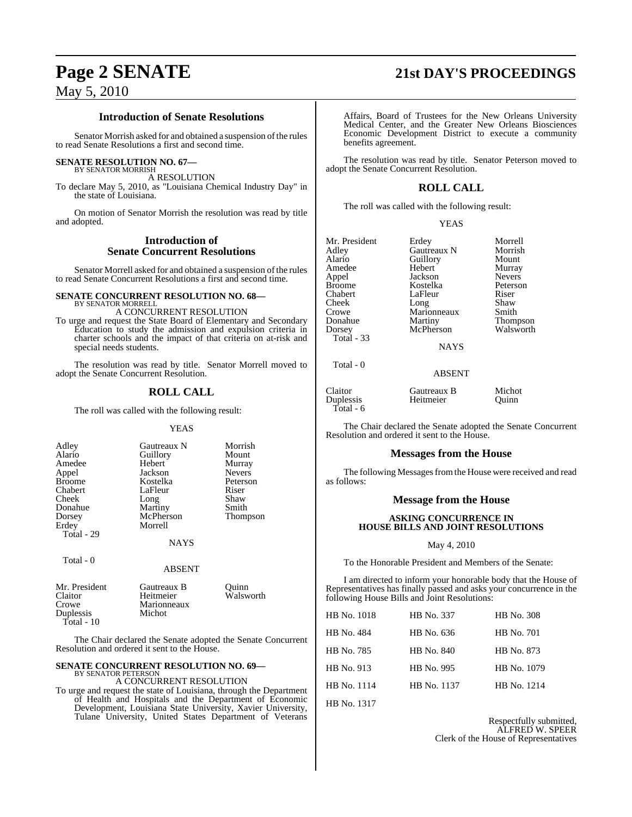#### **Introduction of Senate Resolutions**

Senator Morrish asked for and obtained a suspension of the rules to read Senate Resolutions a first and second time.

#### **SENATE RESOLUTION NO. 67—**

BY SENATOR MORRISH A RESOLUTION

To declare May 5, 2010, as "Louisiana Chemical Industry Day" in the state of Louisiana.

On motion of Senator Morrish the resolution was read by title and adopted.

#### **Introduction of Senate Concurrent Resolutions**

Senator Morrell asked for and obtained a suspension of the rules to read Senate Concurrent Resolutions a first and second time.

#### **SENATE CONCURRENT RESOLUTION NO. 68—** BY SENATOR MORRELL

A CONCURRENT RESOLUTION

To urge and request the State Board of Elementary and Secondary Education to study the admission and expulsion criteria in charter schools and the impact of that criteria on at-risk and special needs students.

The resolution was read by title. Senator Morrell moved to adopt the Senate Concurrent Resolution.

## **ROLL CALL**

The roll was called with the following result:

#### YEAS

| Adley<br>Alario<br>Amedee<br>Appel<br><b>Broome</b><br>Chabert | Gautreaux N<br>Guillory<br>Hebert<br>Jackson<br>Kostelka<br>LaFleur | Morrish<br>Mount<br>Murray<br><b>Nevers</b><br>Peterson<br>Riser |
|----------------------------------------------------------------|---------------------------------------------------------------------|------------------------------------------------------------------|
| Cheek                                                          | Long                                                                | Shaw                                                             |
| Donahue                                                        | Martiny                                                             | Smith                                                            |
| Dorsey                                                         | McPherson                                                           | Thompson                                                         |
| Erdey                                                          | Morrell                                                             |                                                                  |
| Total - 29                                                     |                                                                     |                                                                  |
|                                                                | <b>NAYS</b>                                                         |                                                                  |
| Total $-0$                                                     | <b>ABSENT</b>                                                       |                                                                  |

| Mr. President | Gautreaux B | Ouinn     |
|---------------|-------------|-----------|
| Claitor       | Heitmeier   | Walsworth |
| Crowe         | Marionneaux |           |
| Duplessis     | Michot      |           |
| $Total - 10$  |             |           |

The Chair declared the Senate adopted the Senate Concurrent Resolution and ordered it sent to the House.

#### **SENATE CONCURRENT RESOLUTION NO. 69—** BY SENATOR PETERSON

A CONCURRENT RESOLUTION

To urge and request the state of Louisiana, through the Department of Health and Hospitals and the Department of Economic Development, Louisiana State University, Xavier University, Tulane University, United States Department of Veterans

Affairs, Board of Trustees for the New Orleans University Medical Center, and the Greater New Orleans Biosciences Economic Development District to execute a community benefits agreement.

The resolution was read by title. Senator Peterson moved to adopt the Senate Concurrent Resolution.

## **ROLL CALL**

The roll was called with the following result:

| v |
|---|
|---|

|             | Morrell                                                                                   |
|-------------|-------------------------------------------------------------------------------------------|
|             | Morrish                                                                                   |
|             |                                                                                           |
|             | Mount                                                                                     |
|             | Murray                                                                                    |
| Jackson     | <b>Nevers</b>                                                                             |
| Kostelka    | Peterson                                                                                  |
| LaFleur     | Riser                                                                                     |
|             | Shaw                                                                                      |
|             | Smith                                                                                     |
|             | Thompson                                                                                  |
|             | Walsworth                                                                                 |
|             |                                                                                           |
| <b>NAYS</b> |                                                                                           |
|             | Erdey<br>Gautreaux N<br>Guillory<br>Hebert<br>Long<br>Marionneaux<br>Martiny<br>McPherson |

Total - 0

Claitor Gautreaux B Michot Duplessis

Total - 6

The Chair declared the Senate adopted the Senate Concurrent Resolution and ordered it sent to the House.

ABSENT

#### **Messages from the House**

The following Messages from the House were received and read as follows:

#### **Message from the House**

#### **ASKING CONCURRENCE IN HOUSE BILLS AND JOINT RESOLUTIONS**

#### May 4, 2010

To the Honorable President and Members of the Senate:

I am directed to inform your honorable body that the House of Representatives has finally passed and asks your concurrence in the following House Bills and Joint Resolutions:

| HB No. 1018 | HB No. 337  | <b>HB</b> No. 308 |
|-------------|-------------|-------------------|
| HB No. 484  | HB No. 636  | HB No. 701        |
| HB No. 785  | HB No. 840  | HB No. 873        |
| HB No. 913  | HB No. 995  | HB No. 1079       |
| HB No. 1114 | HB No. 1137 | HB No. 1214       |
|             |             |                   |

HB No. 1317

Respectfully submitted, ALFRED W. SPEER Clerk of the House of Representatives

# **Page 2 SENATE 21st DAY'S PROCEEDINGS**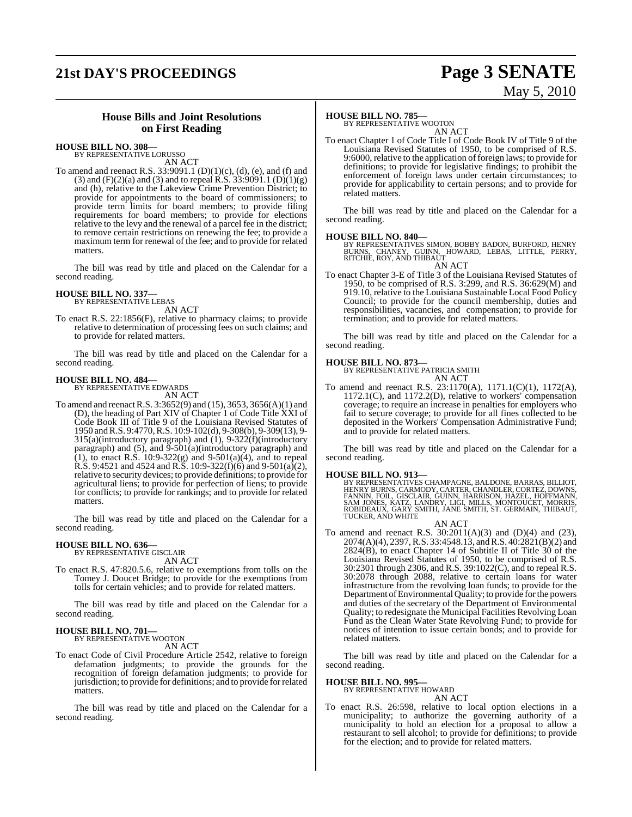# **21st DAY'S PROCEEDINGS Page 3 SENATE**

# May 5, 2010

### **House Bills and Joint Resolutions on First Reading**

**HOUSE BILL NO. 308—** BY REPRESENTATIVE LORUSSO

AN ACT

To amend and reenact R.S.  $33:9091.1$  (D)(1)(c), (d), (e), and (f) and (3) and  $(F)(2)(a)$  and (3) and to repeal R.S. 33:9091.1 (D)(1)(g) and (h), relative to the Lakeview Crime Prevention District; to provide for appointments to the board of commissioners; to provide term limits for board members; to provide filing requirements for board members; to provide for elections relative to the levy and the renewal of a parcel fee in the district; to remove certain restrictions on renewing the fee; to provide a maximum term for renewal of the fee; and to provide for related matters.

The bill was read by title and placed on the Calendar for a second reading.

#### **HOUSE BILL NO. 337—** BY REPRESENTATIVE LEBAS

AN ACT

To enact R.S. 22:1856(F), relative to pharmacy claims; to provide relative to determination of processing fees on such claims; and to provide for related matters.

The bill was read by title and placed on the Calendar for a second reading.

# **HOUSE BILL NO. 484—** BY REPRESENTATIVE EDWARDS

AN ACT

To amend and reenactR.S. 3:3652(9) and (15), 3653, 3656(A)(1) and (D), the heading of Part XIV of Chapter 1 of Code Title XXI of Code Book III of Title 9 of the Louisiana Revised Statutes of 1950 andR.S. 9:4770, R.S. 10:9-102(d), 9-308(b), 9-309(13), 9- 315(a)(introductory paragraph) and (1), 9-322(f)(introductory paragraph) and  $(5)$ , and  $\overline{9}$ -501(a)(introductory paragraph) and (1), to enact R.S. 10:9-322(g) and 9-501(a)(4), and to repeal R.S. 9:4521 and 4524 and R.S. 10:9-322(f)(6) and 9-501(a)(2), relative to security devices; to provide definitions; to provide for agricultural liens; to provide for perfection of liens; to provide for conflicts; to provide for rankings; and to provide for related matters.

The bill was read by title and placed on the Calendar for a second reading.

## **HOUSE BILL NO. 636—**

BY REPRESENTATIVE GISCLAIR AN ACT

To enact R.S. 47:820.5.6, relative to exemptions from tolls on the Tomey J. Doucet Bridge; to provide for the exemptions from tolls for certain vehicles; and to provide for related matters.

The bill was read by title and placed on the Calendar for a second reading.

### **HOUSE BILL NO. 701—**

BY REPRESENTATIVE WOOTON

- AN ACT
- To enact Code of Civil Procedure Article 2542, relative to foreign defamation judgments; to provide the grounds for the recognition of foreign defamation judgments; to provide for jurisdiction; to provide for definitions; and to provide forrelated matters.

The bill was read by title and placed on the Calendar for a second reading.

#### **HOUSE BILL NO. 785—**

BY REPRESENTATIVE WOOTON AN ACT

To enact Chapter 1 of Code Title I of Code Book IV of Title 9 of the Louisiana Revised Statutes of 1950, to be comprised of R.S. 9:6000, relative to the application of foreign laws; to provide for definitions; to provide for legislative findings; to prohibit the enforcement of foreign laws under certain circumstances; to provide for applicability to certain persons; and to provide for related matters.

The bill was read by title and placed on the Calendar for a second reading.

#### **HOUSE BILL NO. 840—**

BY REPRESENTATIVES SIMON, BOBBY BADON, BURFORD, HENRY<br>BURNS, CHANEY, GUINN, HOWARD, LEBAS, LITTLE, PERRY,<br>RITCHIE, ROY, AND THIBAUT AN ACT

To enact Chapter 3-E of Title 3 of the Louisiana Revised Statutes of 1950, to be comprised of R.S. 3:299, and R.S. 36:629(M) and 919.10, relative to the Louisiana Sustainable Local Food Policy Council; to provide for the council membership, duties and responsibilities, vacancies, and compensation; to provide for termination; and to provide for related matters.

The bill was read by title and placed on the Calendar for a second reading.

#### **HOUSE BILL NO. 873—**

BY REPRESENTATIVE PATRICIA SMITH AN ACT

To amend and reenact R.S. 23:1170(A), 1171.1(C)(1), 1172(A), 1172.1(C), and 1172.2(D), relative to workers' compensation coverage; to require an increase in penalties for employers who fail to secure coverage; to provide for all fines collected to be deposited in the Workers' Compensation Administrative Fund; and to provide for related matters.

The bill was read by title and placed on the Calendar for a second reading.

#### **HOUSE BILL NO. 913—**

BY REPRESENTATIVES CHAMPAGNE, BALDONE, BARRAS, BILLIOT,<br>HENRY BURNS, CARMODY, CARTER, CHANDLER, CORTEZ, DOWNS,<br>FANNIN, FOIL, GISCLAIR, GUINN, HARRISON, HAZEL, HOFFMANN,<br>SAM JONES, KATZ, LANDRY, LIGI, MILLS, MONTOUCET, MORR TUCKER, AND WHITE

- AN ACT
- To amend and reenact R.S. 30:2011(A)(3) and (D)(4) and (23), 2074(A)(4), 2397,R.S. 33:4548.13, and R.S. 40:2821(B)(2) and  $2824(B)$ , to enact Chapter 14 of Subtitle II of Title  $30$  of the Louisiana Revised Statutes of 1950, to be comprised of R.S. 30:2301 through 2306, and R.S. 39:1022(C), and to repeal R.S. 30:2078 through 2088, relative to certain loans for water infrastructure from the revolving loan funds; to provide for the Department of Environmental Quality; to provide for the powers and duties of the secretary of the Department of Environmental Quality; to redesignate the Municipal Facilities Revolving Loan Fund as the Clean Water State Revolving Fund; to provide for notices of intention to issue certain bonds; and to provide for related matters.

The bill was read by title and placed on the Calendar for a second reading.

# **HOUSE BILL NO. 995—** BY REPRESENTATIVE HOWARD

- AN ACT
- To enact R.S. 26:598, relative to local option elections in a municipality; to authorize the governing authority of a municipality to hold an election for a proposal to allow a restaurant to sell alcohol; to provide for definitions; to provide for the election; and to provide for related matters.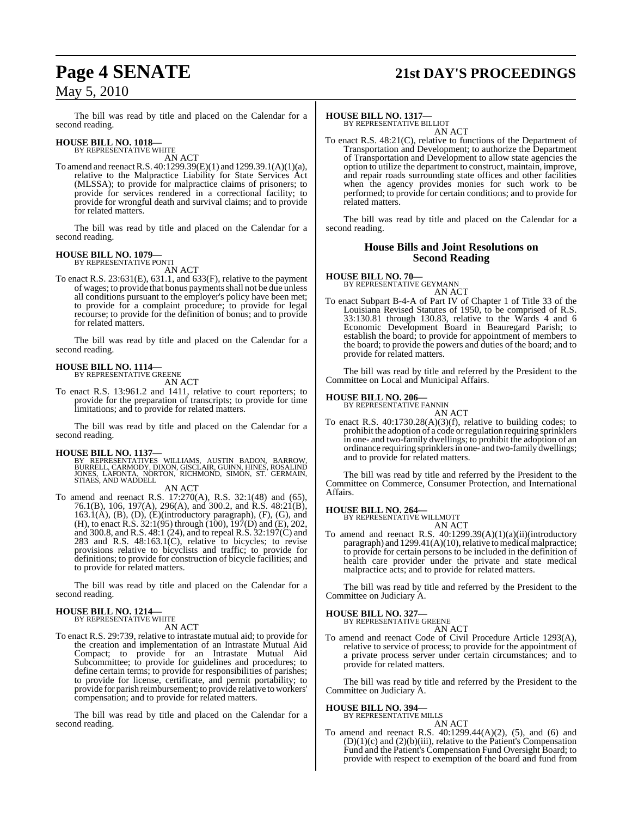# **Page 4 SENATE 21st DAY'S PROCEEDINGS**

## May 5, 2010

The bill was read by title and placed on the Calendar for a second reading.

# **HOUSE BILL NO. 1018—** BY REPRESENTATIVE WHITE

AN ACT

To amend and reenactR.S. 40:1299.39(E)(1) and 1299.39.1(A)(1)(a), relative to the Malpractice Liability for State Services Act (MLSSA); to provide for malpractice claims of prisoners; to provide for services rendered in a correctional facility; to provide for wrongful death and survival claims; and to provide for related matters.

The bill was read by title and placed on the Calendar for a second reading.

# **HOUSE BILL NO. 1079—** BY REPRESENTATIVE PONTI

AN ACT

To enact R.S. 23:631(E), 631.1, and 633(F), relative to the payment of wages; to provide that bonus payments shall not be due unless all conditions pursuant to the employer's policy have been met; to provide for a complaint procedure; to provide for legal recourse; to provide for the definition of bonus; and to provide for related matters.

The bill was read by title and placed on the Calendar for a second reading.

#### **HOUSE BILL NO. 1114—** BY REPRESENTATIVE GREENE

AN ACT

To enact R.S. 13:961.2 and 1411, relative to court reporters; to provide for the preparation of transcripts; to provide for time limitations; and to provide for related matters.

The bill was read by title and placed on the Calendar for a second reading.

**HOUSE BILL NO. 1137—**<br>BY REPRESENTATIVES WILLIAMS, AUSTIN BADON, BARROW,<br>BURRELL, CARMODY, DIXON, GISCLAIR, GUINN, HINES, ROSALIND<br>JONES, LAFONTA, NORTON, RICHMOND, SIMON, ST. GERMAIN,<br>STIAES, AND WADDELL

- AN ACT
- To amend and reenact R.S. 17:270(A), R.S. 32:1(48) and (65), 76.1(B), 106, 197(A), 296(A), and 300.2, and R.S. 48:21(B),  $163.1(A)$ ,  $(B)$ ,  $(D)$ ,  $(E)$ (introductory paragraph),  $(F)$ ,  $(G)$ , and (H), to enact R.S. 32:1(95) through (100), 197(D) and (E), 202, and 300.8, and R.S. 48:1 (24), and to repeal R.S. 32:197(C) and 283 and R.S. 48:163.1(C), relative to bicycles; to revise provisions relative to bicyclists and traffic; to provide for definitions; to provide for construction of bicycle facilities; and to provide for related matters.

The bill was read by title and placed on the Calendar for a second reading.

#### **HOUSE BILL NO. 1214—** BY REPRESENTATIVE WHITE

AN ACT

To enact R.S. 29:739, relative to intrastate mutual aid; to provide for the creation and implementation of an Intrastate Mutual Aid Compact; to provide for an Intrastate Mutual Aid Subcommittee; to provide for guidelines and procedures; to define certain terms; to provide for responsibilities of parishes; to provide for license, certificate, and permit portability; to provide for parish reimbursement; to provide relative to workers' compensation; and to provide for related matters.

The bill was read by title and placed on the Calendar for a second reading.

#### **HOUSE BILL NO. 1317—**

BY REPRESENTATIVE BILLIOT AN ACT

To enact R.S. 48:21(C), relative to functions of the Department of Transportation and Development; to authorize the Department of Transportation and Development to allow state agencies the option to utilize the department to construct, maintain, improve, and repair roads surrounding state offices and other facilities when the agency provides monies for such work to be performed; to provide for certain conditions; and to provide for related matters.

The bill was read by title and placed on the Calendar for a second reading.

#### **House Bills and Joint Resolutions on Second Reading**

**HOUSE BILL NO. 70—** BY REPRESENTATIVE GEYMANN AN ACT

To enact Subpart B-4-A of Part IV of Chapter 1 of Title 33 of the Louisiana Revised Statutes of 1950, to be comprised of R.S. 33:130.81 through 130.83, relative to the Wards 4 and 6 Economic Development Board in Beauregard Parish; to establish the board; to provide for appointment of members to the board; to provide the powers and duties of the board; and to provide for related matters.

The bill was read by title and referred by the President to the Committee on Local and Municipal Affairs.

# **HOUSE BILL NO. 206—** BY REPRESENTATIVE FANNIN

AN ACT To enact R.S. 40:1730.28(A)(3)(f), relative to building codes; to prohibit the adoption of a code orregulation requiring sprinklers in one- and two-family dwellings; to prohibit the adoption of an ordinance requiring sprinklers in one- and two-family dwellings; and to provide for related matters.

The bill was read by title and referred by the President to the Committee on Commerce, Consumer Protection, and International Affairs.

# **HOUSE BILL NO. 264—** BY REPRESENTATIVE WILLMOTT

AN ACT

To amend and reenact R.S. 40:1299.39(A)(1)(a)(ii)(introductory paragraph) and  $1299.41(A)(10)$ , relative to medical malpractice; to provide for certain persons to be included in the definition of health care provider under the private and state medical malpractice acts; and to provide for related matters.

The bill was read by title and referred by the President to the Committee on Judiciary A.

#### **HOUSE BILL NO. 327—**

BY REPRESENTATIVE GREENE

AN ACT

To amend and reenact Code of Civil Procedure Article 1293(A), relative to service of process; to provide for the appointment of a private process server under certain circumstances; and to provide for related matters.

The bill was read by title and referred by the President to the Committee on Judiciary A.

#### **HOUSE BILL NO. 394—**

BY REPRESENTATIVE MILLS AN ACT

To amend and reenact R.S. 40:1299.44(A)(2), (5), and (6) and  $(D)(1)(c)$  and  $(2)(b)(iii)$ , relative to the Patient's Compensation Fund and the Patient's Compensation Fund Oversight Board; to provide with respect to exemption of the board and fund from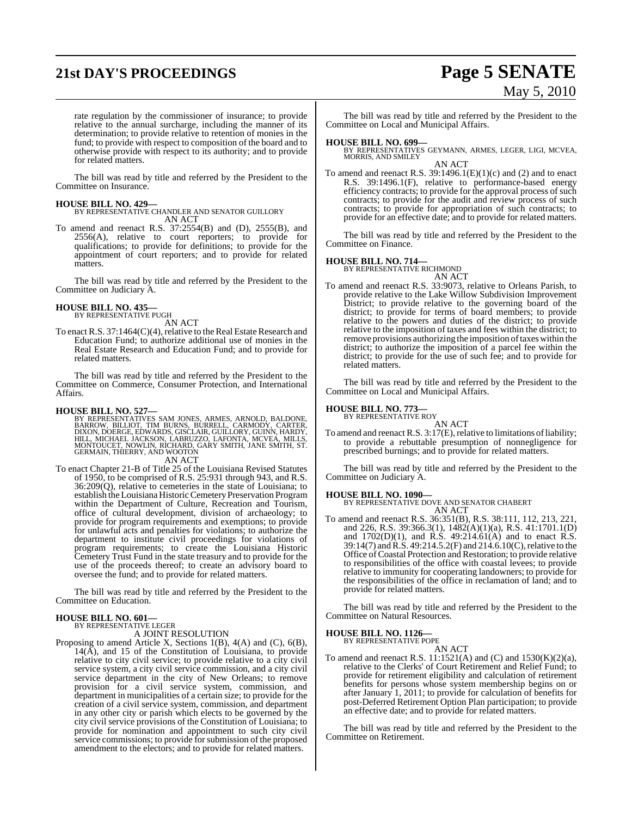# **21st DAY'S PROCEEDINGS Page 5 SENATE**

# May 5, 2010

rate regulation by the commissioner of insurance; to provide relative to the annual surcharge, including the manner of its determination; to provide relative to retention of monies in the fund; to provide with respect to composition of the board and to otherwise provide with respect to its authority; and to provide for related matters.

The bill was read by title and referred by the President to the Committee on Insurance.

#### **HOUSE BILL NO. 429—**

BY REPRESENTATIVE CHANDLER AND SENATOR GUILLORY AN ACT

To amend and reenact R.S. 37:2554(B) and (D), 2555(B), and 2556(A), relative to court reporters; to provide for qualifications; to provide for definitions; to provide for the appointment of court reporters; and to provide for related matters.

The bill was read by title and referred by the President to the Committee on Judiciary A.

#### **HOUSE BILL NO. 435—** BY REPRESENTATIVE PUGH

AN ACT

To enact R.S. 37:1464(C)(4), relative to the Real Estate Research and Education Fund; to authorize additional use of monies in the Real Estate Research and Education Fund; and to provide for related matters.

The bill was read by title and referred by the President to the Committee on Commerce, Consumer Protection, and International Affairs.

#### **HOUSE BILL NO. 527—**

BY REPRESENTATIVES SAM JONES, ARMES, ARNOLD, BALDONE,<br>BARROW, BILLIOT, TIM BURNS, BURRELL, CARMODY, CARTER,<br>DIXON,DOERGE, EDWARDS, GISCLAIR, GUILLORY, GUINN, HARDY,<br>HILL, MICHAEL JACKSON, LABRUZZO, LAFONTA, MCVEA, MILLS,<br>M GERMAIN, THIERRY, AND WOOTON AN ACT

To enact Chapter 21-B of Title 25 of the Louisiana Revised Statutes of 1950, to be comprised of R.S. 25:931 through 943, and R.S. 36:209(Q), relative to cemeteries in the state of Louisiana; to establish the Louisiana Historic Cemetery Preservation Program within the Department of Culture, Recreation and Tourism, office of cultural development, division of archaeology; to provide for program requirements and exemptions; to provide for unlawful acts and penalties for violations; to authorize the department to institute civil proceedings for violations of program requirements; to create the Louisiana Historic Cemetery Trust Fund in the state treasury and to provide for the use of the proceeds thereof; to create an advisory board to oversee the fund; and to provide for related matters.

The bill was read by title and referred by the President to the Committee on Education.

#### **HOUSE BILL NO. 601—**

BY REPRESENTATIVE LEGER A JOINT RESOLUTION

Proposing to amend Article X, Sections 1(B), 4(A) and (C), 6(B), 14(A), and 15 of the Constitution of Louisiana, to provide relative to city civil service; to provide relative to a city civil service system, a city civil service commission, and a city civil service department in the city of New Orleans; to remove provision for a civil service system, commission, and department in municipalities of a certain size; to provide for the creation of a civil service system, commission, and department in any other city or parish which elects to be governed by the city civil service provisions of the Constitution of Louisiana; to provide for nomination and appointment to such city civil service commissions; to provide for submission of the proposed amendment to the electors; and to provide for related matters.

The bill was read by title and referred by the President to the Committee on Local and Municipal Affairs.

**HOUSE BILL NO. 699—** BY REPRESENTATIVES GEYMANN, ARMES, LEGER, LIGI, MCVEA, MORRIS, AND SMILEY AN ACT

To amend and reenact R.S.  $39:1496.1(E)(1)(c)$  and (2) and to enact R.S. 39:1496.1(F), relative to performance-based energy efficiency contracts; to provide for the approval process of such contracts; to provide for the audit and review process of such contracts; to provide for appropriation of such contracts; to provide for an effective date; and to provide for related matters.

The bill was read by title and referred by the President to the Committee on Finance.

#### **HOUSE BILL NO. 714—**

BY REPRESENTATIVE RICHMOND

AN ACT To amend and reenact R.S. 33:9073, relative to Orleans Parish, to provide relative to the Lake Willow Subdivision Improvement District; to provide relative to the governing board of the district; to provide for terms of board members; to provide relative to the powers and duties of the district; to provide relative to the imposition of taxes and fees within the district; to remove provisions authorizing the imposition of taxes within the district; to authorize the imposition of a parcel fee within the district; to provide for the use of such fee; and to provide for related matters.

The bill was read by title and referred by the President to the Committee on Local and Municipal Affairs.

# **HOUSE BILL NO. 773—** BY REPRESENTATIVE ROY

AN ACT

To amend and reenact R.S.  $3:17(E)$ , relative to limitations of liability; to provide a rebuttable presumption of nonnegligence for prescribed burnings; and to provide for related matters.

The bill was read by title and referred by the President to the Committee on Judiciary A.

**HOUSE BILL NO. 1090—** BY REPRESENTATIVE DOVE AND SENATOR CHABERT AN ACT

To amend and reenact R.S. 36:351(B), R.S. 38:111, 112, 213, 221, and 226, R.S. 39:366.3(1), 1482(A)(1)(a), R.S. 41:1701.1(D) and 1702(D)(1), and R.S. 49:214.61(A) and to enact R.S. 39:14(7) and R.S. 49:214.5.2(F) and 214.6.10(C), relative to the Office ofCoastal Protection and Restoration; to provide relative to responsibilities of the office with coastal levees; to provide relative to immunity for cooperating landowners; to provide for the responsibilities of the office in reclamation of land; and to provide for related matters.

The bill was read by title and referred by the President to the Committee on Natural Resources.

# **HOUSE BILL NO. 1126—** BY REPRESENTATIVE POPE

- AN ACT
- To amend and reenact R.S.  $11:1521(A)$  and  $(C)$  and  $1530(K)(2)(a)$ , relative to the Clerks' of Court Retirement and Relief Fund; to provide for retirement eligibility and calculation of retirement benefits for persons whose system membership begins on or after January 1, 2011; to provide for calculation of benefits for post-Deferred Retirement Option Plan participation; to provide an effective date; and to provide for related matters.

The bill was read by title and referred by the President to the Committee on Retirement.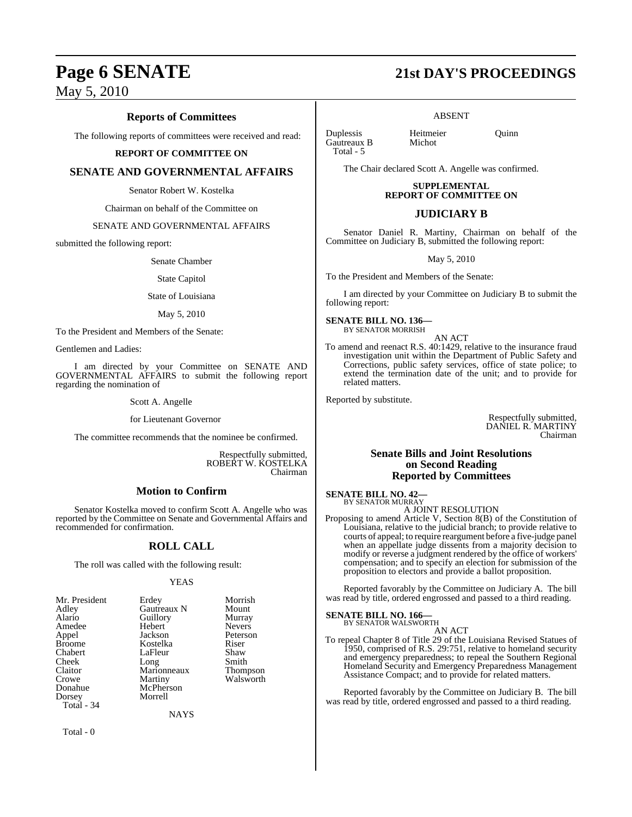## **Reports of Committees**

The following reports of committees were received and read:

#### **REPORT OF COMMITTEE ON**

#### **SENATE AND GOVERNMENTAL AFFAIRS**

Senator Robert W. Kostelka

Chairman on behalf of the Committee on

#### SENATE AND GOVERNMENTAL AFFAIRS

submitted the following report:

Senate Chamber

#### State Capitol

#### State of Louisiana

May 5, 2010

To the President and Members of the Senate:

Gentlemen and Ladies:

I am directed by your Committee on SENATE AND GOVERNMENTAL AFFAIRS to submit the following report regarding the nomination of

Scott A. Angelle

for Lieutenant Governor

The committee recommends that the nominee be confirmed.

Respectfully submitted, ROBERT W. KOSTELKA Chairman

### **Motion to Confirm**

Senator Kostelka moved to confirm Scott A. Angelle who was reported by the Committee on Senate and Governmental Affairs and recommended for confirmation.

### **ROLL CALL**

The roll was called with the following result:

#### YEAS

| Mr. President | Erdey       | Morrish         |
|---------------|-------------|-----------------|
| Adley         | Gautreaux N | Mount           |
| Alario        | Guillory    | Murray          |
| Amedee        | Hebert      | <b>Nevers</b>   |
| Appel         | Jackson     | Peterson        |
| Broome        | Kostelka    | Riser           |
| Chabert       | LaFleur     | Shaw            |
| Cheek         | Long        | Smith           |
| Claitor       | Marionneaux | <b>Thompson</b> |
| Crowe         | Martiny     | Walsworth       |
| Donahue       | McPherson   |                 |
| Dorsey        | Morrell     |                 |
| Total - 34    |             |                 |

**NAYS** 

Total - 0

# **Page 6 SENATE 21st DAY'S PROCEEDINGS**

ABSENT

Duplessis Heitmeier Quinn Gautreaux B Total - 5

The Chair declared Scott A. Angelle was confirmed.

### **SUPPLEMENTAL REPORT OF COMMITTEE ON**

#### **JUDICIARY B**

Senator Daniel R. Martiny, Chairman on behalf of the Committee on Judiciary B, submitted the following report:

May 5, 2010

To the President and Members of the Senate:

I am directed by your Committee on Judiciary B to submit the following report:

**SENATE BILL NO. 136—** BY SENATOR MORRISH

AN ACT

To amend and reenact R.S. 40:1429, relative to the insurance fraud investigation unit within the Department of Public Safety and Corrections, public safety services, office of state police; to extend the termination date of the unit; and to provide for related matters.

Reported by substitute.

Respectfully submitted, DANIEL R. MARTINY Chairman

#### **Senate Bills and Joint Resolutions on Second Reading Reported by Committees**

**SENATE BILL NO. 42—** BY SENATOR MURRAY

A JOINT RESOLUTION

Proposing to amend Article V, Section 8(B) of the Constitution of Louisiana, relative to the judicial branch; to provide relative to courts of appeal; to require reargument before a five-judge panel when an appellate judge dissents from a majority decision to modify or reverse a judgment rendered by the office of workers' compensation; and to specify an election for submission of the proposition to electors and provide a ballot proposition.

Reported favorably by the Committee on Judiciary A. The bill was read by title, ordered engrossed and passed to a third reading.

# **SENATE BILL NO. 166—** BY SENATOR WALSWORTH

AN ACT To repeal Chapter 8 of Title 29 of the Louisiana Revised Statues of 1950, comprised of R.S. 29:751, relative to homeland security and emergency preparedness; to repeal the Southern Regional Homeland Security and Emergency Preparedness Management Assistance Compact; and to provide for related matters.

Reported favorably by the Committee on Judiciary B. The bill was read by title, ordered engrossed and passed to a third reading.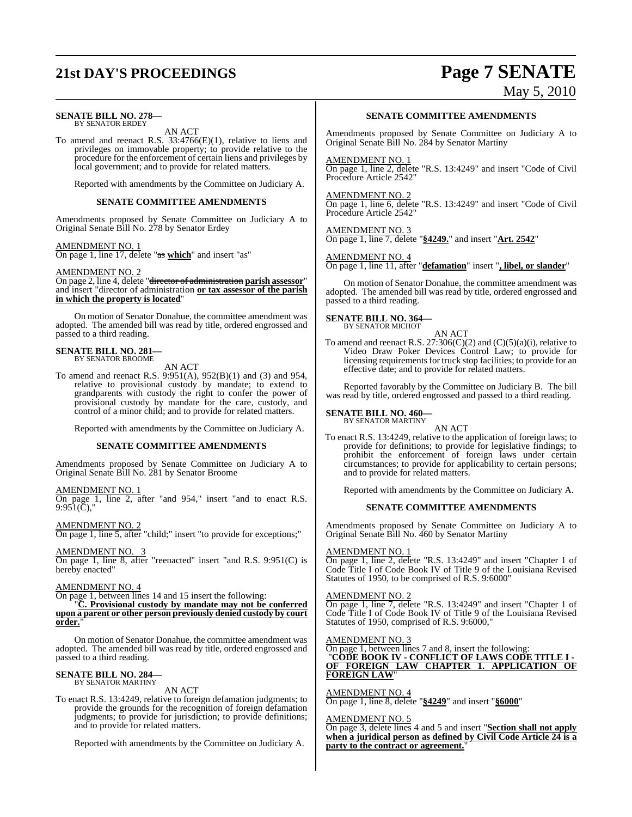# **21st DAY'S PROCEEDINGS Page 7 SENATE**

#### **SENATE BILL NO. 278—** BY SENATOR ERDEY

AN ACT

To amend and reenact R.S. 33:4766(E)(1), relative to liens and privileges on immovable property; to provide relative to the procedure for the enforcement of certain liens and privileges by local government; and to provide for related matters.

Reported with amendments by the Committee on Judiciary A.

#### **SENATE COMMITTEE AMENDMENTS**

Amendments proposed by Senate Committee on Judiciary A to Original Senate Bill No. 278 by Senator Erdey

#### AMENDMENT NO. 1

On page 1, line 17, delete "as **which**" and insert "as"

#### AMENDMENT NO. 2

On page 2, line 4, delete "director of administration **parish assessor**" and insert "director of administration **or tax assessor of the parish in which the property is located**"

On motion of Senator Donahue, the committee amendment was adopted. The amended bill was read by title, ordered engrossed and passed to a third reading.

#### **SENATE BILL NO. 281—** BY SENATOR BROOME

AN ACT

To amend and reenact R.S. 9:951(A), 952(B)(1) and (3) and 954, relative to provisional custody by mandate; to extend to grandparents with custody the right to confer the power of provisional custody by mandate for the care, custody, and control of a minor child; and to provide for related matters.

Reported with amendments by the Committee on Judiciary A.

#### **SENATE COMMITTEE AMENDMENTS**

Amendments proposed by Senate Committee on Judiciary A to Original Senate Bill No. 281 by Senator Broome

#### AMENDMENT NO. 1

On page 1, line 2, after "and 954," insert "and to enact R.S.  $9:951(\bar{C})$ ,"

AMENDMENT NO. 2 On page 1, line 5, after "child;" insert "to provide for exceptions;"

AMENDMENT NO. 3

On page 1, line 8, after "reenacted" insert "and R.S. 9:951(C) is hereby enacted"

#### AMENDMENT NO. 4

On page 1, between lines 14 and 15 insert the following:

"**C. Provisional custody by mandate may not be conferred upon a parent or other person previously denied custody by court** order.

On motion of Senator Donahue, the committee amendment was adopted. The amended bill was read by title, ordered engrossed and passed to a third reading.

#### **SENATE BILL NO. 284** BY SENATOR MARTINY

AN ACT

To enact R.S. 13:4249, relative to foreign defamation judgments; to provide the grounds for the recognition of foreign defamation judgments; to provide for jurisdiction; to provide definitions; and to provide for related matters.

Reported with amendments by the Committee on Judiciary A.

May 5, 2010

#### **SENATE COMMITTEE AMENDMENTS**

Amendments proposed by Senate Committee on Judiciary A to Original Senate Bill No. 284 by Senator Martiny

AMENDMENT NO. 1

On page 1, line 2, delete "R.S. 13:4249" and insert "Code of Civil Procedure Article 2542"

#### AMENDMENT NO. 2

On page 1, line 6, delete "R.S. 13:4249" and insert "Code of Civil Procedure Article 2542"

AMENDMENT NO. 3

On page 1, line 7, delete "**§4249.**" and insert "**Art. 2542**"

#### AMENDMENT NO. 4

On page 1, line 11, after "**defamation**" insert "**, libel, or slander**"

On motion of Senator Donahue, the committee amendment was adopted. The amended bill was read by title, ordered engrossed and passed to a third reading.

#### **SENATE BILL NO. 364—** BY SENATOR MICHOT

AN ACT To amend and reenact R.S.  $27:306(C)(2)$  and  $(C)(5)(a)(i)$ , relative to Video Draw Poker Devices Control Law; to provide for licensing requirements for truck stop facilities; to provide for an effective date; and to provide for related matters.

Reported favorably by the Committee on Judiciary B. The bill was read by title, ordered engrossed and passed to a third reading.

#### **SENATE BILL NO. 460—**

BY SENATOR MARTINY AN ACT

To enact R.S. 13:4249, relative to the application of foreign laws; to provide for definitions; to provide for legislative findings; to prohibit the enforcement of foreign laws under certain circumstances; to provide for applicability to certain persons; and to provide for related matters.

Reported with amendments by the Committee on Judiciary A.

#### **SENATE COMMITTEE AMENDMENTS**

Amendments proposed by Senate Committee on Judiciary A to Original Senate Bill No. 460 by Senator Martiny

#### AMENDMENT NO. 1

On page 1, line 2, delete "R.S. 13:4249" and insert "Chapter 1 of Code Title I of Code Book IV of Title 9 of the Louisiana Revised Statutes of 1950, to be comprised of R.S. 9:6000"

#### AMENDMENT NO. 2

On page 1, line 7, delete "R.S. 13:4249" and insert "Chapter 1 of Code Title I of Code Book IV of Title 9 of the Louisiana Revised Statutes of 1950, comprised of R.S. 9:6000,"

#### AMENDMENT NO. 3

On page 1, between lines 7 and 8, insert the following: "**CODE BOOK IV - CONFLICT OF LAWS CODE TITLE I - OF FOREIGN LAW CHAPTER 1. APPLICATION OF FOREIGN LAW**"

#### AMENDMENT NO. 4

On page 1, line 8, delete "**§4249**" and insert "**§6000**"

#### AMENDMENT NO. 5

On page 3, delete lines 4 and 5 and insert "**Section shall not apply when a juridical person as defined by Civil Code Article 24 is a party to the contract or agreement.**"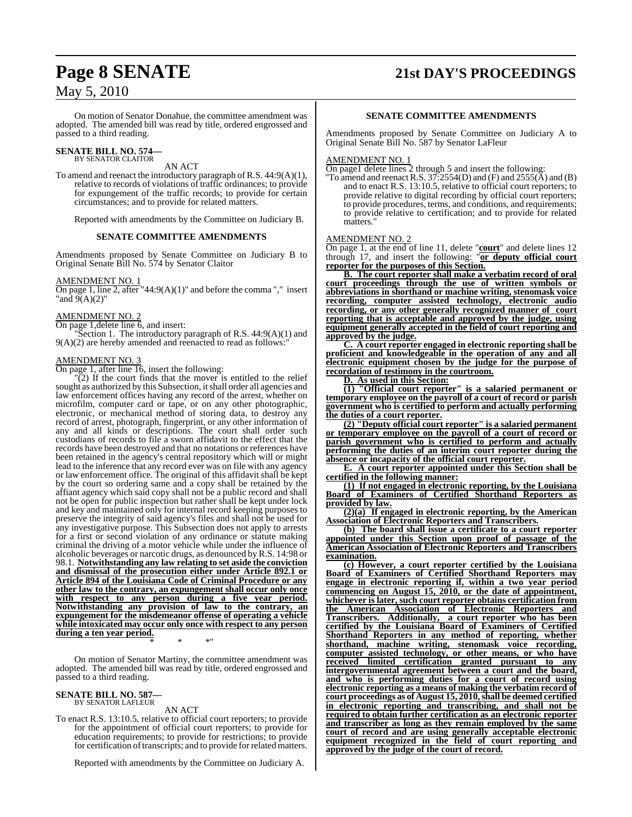On motion of Senator Donahue, the committee amendment was adopted. The amended bill was read by title, ordered engrossed and passed to a third reading.

# **SENATE BILL NO. 574—** BY SENATOR CLAITOR

AN ACT

To amend and reenact the introductory paragraph of R.S. 44:9(A)(1), relative to records of violations of traffic ordinances; to provide for expungement of the traffic records; to provide for certain circumstances; and to provide for related matters.

Reported with amendments by the Committee on Judiciary B.

#### **SENATE COMMITTEE AMENDMENTS**

Amendments proposed by Senate Committee on Judiciary B to Original Senate Bill No. 574 by Senator Claitor

#### AMENDMENT NO. 1

On page 1, line 2, after "44:9(A)(1)" and before the comma "," insert "and  $9(A)(2)$ "

#### AMENDMENT NO. 2

On page 1,delete line 6, and insert:

"Section 1. The introductory paragraph of R.S. 44:9(A)(1) and  $9(A)(2)$  are hereby amended and reenacted to read as follows:

#### AMENDMENT NO. 3

On page 1, after line 16, insert the following:

"(2) If the court finds that the mover is entitled to the relief sought as authorized by this Subsection, it shall order all agencies and law enforcement offices having any record of the arrest, whether on microfilm, computer card or tape, or on any other photographic, electronic, or mechanical method of storing data, to destroy any record of arrest, photograph, fingerprint, or any other information of any and all kinds or descriptions. The court shall order such custodians of records to file a sworn affidavit to the effect that the records have been destroyed and that no notations or references have been retained in the agency's central repository which will or might lead to the inference that any record ever was on file with any agency or law enforcement office. The original of this affidavit shall be kept by the court so ordering same and a copy shall be retained by the affiant agency which said copy shall not be a public record and shall not be open for public inspection but rather shall be kept under lock and key and maintained only for internal record keeping purposes to preserve the integrity of said agency's files and shall not be used for any investigative purpose. This Subsection does not apply to arrests for a first or second violation of any ordinance or statute making criminal the driving of a motor vehicle while under the influence of alcoholic beverages or narcotic drugs, as denounced byR.S. 14:98 or 98.1. **Notwithstanding any law relating to set aside the conviction and dismissal of the prosecution either under Article 892.1 or Article 894 of the Louisiana Code of Criminal Procedure or any other law to the contrary, an expungement shall occur only once with respect to any person during a five year period. Notwithstanding any provision of law to the contrary, an expungement for the misdemeanor offense of operating a vehicle while intoxicated may occur only once with respect to any person during a ten year period.** \* \* \*"

On motion of Senator Martiny, the committee amendment was adopted. The amended bill was read by title, ordered engrossed and passed to a third reading.

#### **SENATE BILL NO. 587—** BY SENATOR LAFLEUR

AN ACT

To enact R.S. 13:10.5, relative to official court reporters; to provide for the appointment of official court reporters; to provide for education requirements; to provide for restrictions; to provide for certification of transcripts; and to provide for related matters.

Reported with amendments by the Committee on Judiciary A.

# **Page 8 SENATE 21st DAY'S PROCEEDINGS**

#### **SENATE COMMITTEE AMENDMENTS**

Amendments proposed by Senate Committee on Judiciary A to Original Senate Bill No. 587 by Senator LaFleur

#### AMENDMENT NO. 1

On page1 delete lines 2 through 5 and insert the following:

"To amend and reenact R.S.  $37:2554(D)$  and  $(F)$  and  $2555(A)$  and  $(B)$ and to enact R.S. 13:10.5, relative to official court reporters; to provide relative to digital recording by official court reporters; to provide procedures, terms, and conditions, and requirements; to provide relative to certification; and to provide for related matters.

#### AMENDMENT NO. 2

On page 1, at the end of line 11, delete "**court**" and delete lines 12 through 17, and insert the following: "**or deputy official court reporter for the purposes of this Section.**

**B. The court reporter shall make a verbatim record of oral court proceedings through the use of written symbols or abbreviations in shorthand or machine writing, stenomask voice recording, computer assisted technology, electronic audio recording, or any other generally recognized manner of court reporting that is acceptable and approved by the judge, using equipment generally accepted in the field of court reporting and approved by the judge.**

**C. A court reporter engaged in electronic reporting shall be proficient and knowledgeable in the operation of any and all electronic equipment chosen by the judge for the purpose of recordation of testimony in the courtroom.**

**D. As used in this Section:**

**(1) "Official court reporter" is a salaried permanent or temporary employee on the payroll of a court of record or parish government who is certified to perform and actually performing the duties of a court reporter.**

**(2) "Deputy official court reporter" is a salaried permanent or temporary employee on the payroll of a court of record or parish government who is certified to perform and actually performing the duties of an interim court reporter during the absence or incapacity of the official court reporter.**

**E. A court reporter appointed under this Section shall be certified in the following manner:**

**(1) If not engaged in electronic reporting, by the Louisiana Board of Examiners of Certified Shorthand Reporters as provided by law.**

**(2)(a) If engaged in electronic reporting, by the American Association of Electronic Reporters and Transcribers.**

**(b) The board shall issue a certificate to a court reporter appointed under this Section upon proof of passage of the American Association of Electronic Reporters and Transcribers examination.**

**(c) However, a court reporter certified by the Louisiana Board of Examiners of Certified Shorthand Reporters may engage in electronic reporting if, within a two year period commencing on August 15, 2010, or the date of appointment, whichever is later, such court reporter obtains certification from the American Association of Electronic Reporters and Transcribers. Additionally, a court reporter who has been certified by the Louisiana Board of Examiners of Certified Shorthand Reporters in any method of reporting, whether shorthand, machine writing, stenomask voice recording, computer assisted technology, or other means, or who have received limited certification granted pursuant to any intergovernmental agreement between a court and the board, and who is performing duties for a court of record using electronic reporting as a means of making the verbatim record of court proceedings as of August 15, 2010,shall be deemed certified in electronic reporting and transcribing, and shall not be required to obtain further certification as an electronic reporter and transcriber as long as they remain employed by the same court of record and are using generally acceptable electronic equipment recognized in the field of court reporting and approved by the judge of the court of record.**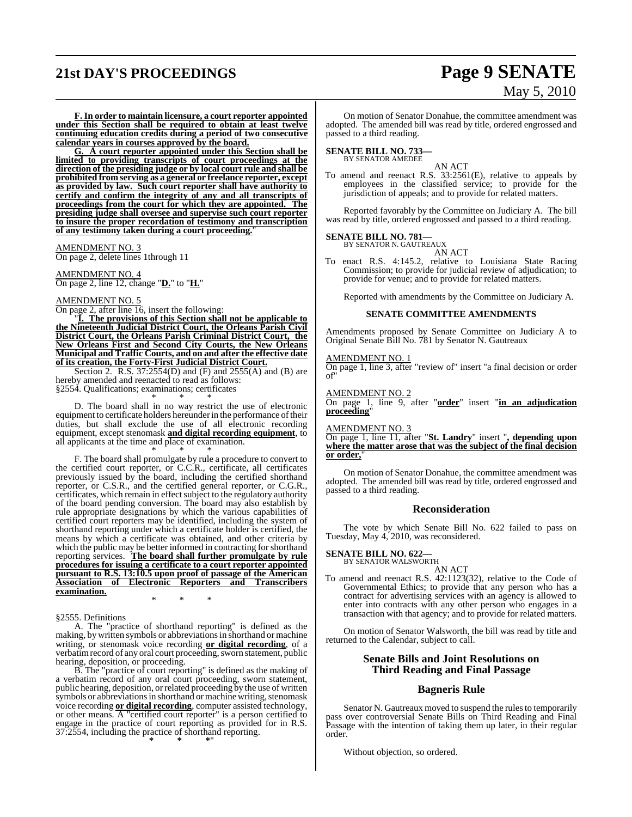# **21st DAY'S PROCEEDINGS Page 9 SENATE**

# May 5, 2010

**F. In order to maintain licensure, a court reporter appointed under this Section shall be required to obtain at least twelve continuing education credits during a period of two consecutive calendar years in courses approved by the board.**

**G. A court reporter appointed under this Section shall be limited to providing transcripts of court proceedings at the direction of the presiding judge or by local court rule and shall be prohibited from serving as a general or freelance reporter, except as provided by law. Such court reporter shall have authority to certify and confirm the integrity of any and all transcripts of proceedings from the court for which they are appointed. The presiding judge shall oversee and supervise such court reporter to insure the proper recordation of testimony and transcription of any testimony taken during a court proceeding.**"

AMENDMENT NO. 3

On page 2, delete lines 1through 11

AMENDMENT NO. 4 On page 2, line 12, change "**D.**" to "**H.**"

AMENDMENT NO. 5 On page 2, after line 16, insert the following:

"**I. The provisions of this Section shall not be applicable to the Nineteenth Judicial District Court, the Orleans Parish Civil District Court, the Orleans Parish Criminal District Court, the New Orleans First and Second City Courts, the New Orleans Municipal and Traffic Courts, and on and after the effective date of its creation, the Forty-First Judicial District Court.**

Section 2. R.S. 37:2554(D) and (F) and 2555(A) and (B) are hereby amended and reenacted to read as follows: §2554. Qualifications; examinations; certificates

\* \* \*

D. The board shall in no way restrict the use of electronic equipment to certificate holders hereunder in the performance of their duties, but shall exclude the use of all electronic recording equipment, except stenomask **and digital recording equipment**, to all applicants at the time and place of examination.

\* \* \* F. The board shall promulgate by rule a procedure to convert to the certified court reporter, or C.C.R., certificate, all certificates previously issued by the board, including the certified shorthand reporter, or C.S.R., and the certified general reporter, or C.G.R., certificates, which remain in effect subject to the regulatory authority of the board pending conversion. The board may also establish by rule appropriate designations by which the various capabilities of certified court reporters may be identified, including the system of shorthand reporting under which a certificate holder is certified, the means by which a certificate was obtained, and other criteria by which the public may be better informed in contracting for shorthand reporting services. **The board shall further promulgate by rule procedures for issuing a certificate to a court reporter appointed pursuant to R.S. 13:10.5 upon proof of passage of the American Association of Electronic Reporters and Transcribers examination.**

§2555. Definitions

A. The "practice of shorthand reporting" is defined as the making, by written symbols or abbreviationsin shorthand or machine writing, or stenomask voice recording **or digital recording**, of a verbatim record of any oral court proceeding, sworn statement, public hearing, deposition, or proceeding.

\* \* \*

B. The "practice of court reporting" is defined as the making of a verbatim record of any oral court proceeding, sworn statement, public hearing, deposition, or related proceeding by the use of written symbols or abbreviations in shorthand or machine writing, stenomask voice recording **or digital recording**, computer assisted technology, or other means. A "certified court reporter" is a person certified to engage in the practice of court reporting as provided for in R.S. 37:2554, including the practice of shorthand reporting. **\* \* \***"

On motion of Senator Donahue, the committee amendment was adopted. The amended bill was read by title, ordered engrossed and passed to a third reading.

# **SENATE BILL NO. 733—** BY SENATOR AMEDEE

AN ACT

To amend and reenact R.S. 33:2561(E), relative to appeals by employees in the classified service; to provide for the jurisdiction of appeals; and to provide for related matters.

Reported favorably by the Committee on Judiciary A. The bill was read by title, ordered engrossed and passed to a third reading.

#### **SENATE BILL NO. 781—**

BY SENATOR N. GAUTREAUX AN ACT

To enact R.S. 4:145.2, relative to Louisiana State Racing Commission; to provide for judicial review of adjudication; to provide for venue; and to provide for related matters.

Reported with amendments by the Committee on Judiciary A.

#### **SENATE COMMITTEE AMENDMENTS**

Amendments proposed by Senate Committee on Judiciary A to Original Senate Bill No. 781 by Senator N. Gautreaux

#### AMENDMENT NO. 1

On page 1, line 3, after "review of" insert "a final decision or order of"

#### AMENDMENT NO. 2

On page 1, line 9, after "**order**" insert "**in an adjudication proceeding**"

#### AMENDMENT NO. 3

On page 1, line 11, after "**St. Landry**" insert "**, depending upon where the matter arose that was the subject of the final decision or order,**"

On motion of Senator Donahue, the committee amendment was adopted. The amended bill was read by title, ordered engrossed and passed to a third reading.

#### **Reconsideration**

The vote by which Senate Bill No. 622 failed to pass on Tuesday, May 4, 2010, was reconsidered.

# **SENATE BILL NO. 622—** BY SENATOR WALSWORTH

AN ACT

To amend and reenact R.S. 42:1123(32), relative to the Code of Governmental Ethics; to provide that any person who has a contract for advertising services with an agency is allowed to enter into contracts with any other person who engages in a transaction with that agency; and to provide for related matters.

On motion of Senator Walsworth, the bill was read by title and returned to the Calendar, subject to call.

#### **Senate Bills and Joint Resolutions on Third Reading and Final Passage**

#### **Bagneris Rule**

Senator N. Gautreaux moved to suspend the rules to temporarily pass over controversial Senate Bills on Third Reading and Final Passage with the intention of taking them up later, in their regular order.

Without objection, so ordered.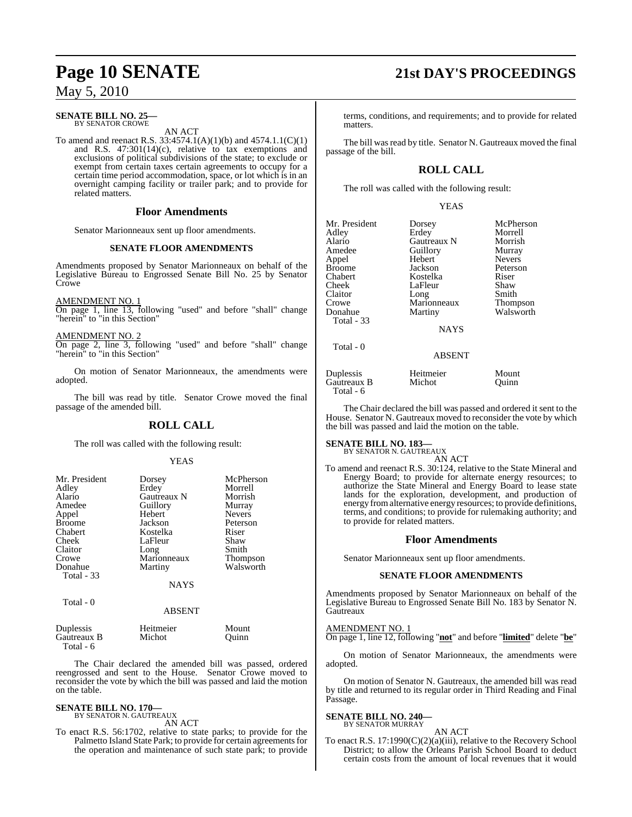#### **SENATE BILL NO. 25—** BY SENATOR CROWE

AN ACT

To amend and reenact R.S. 33:4574.1(A)(1)(b) and 4574.1.1(C)(1) and R.S. 47:301(14)(c), relative to tax exemptions and exclusions of political subdivisions of the state; to exclude or exempt from certain taxes certain agreements to occupy for a certain time period accommodation, space, or lot which is in an overnight camping facility or trailer park; and to provide for related matters.

#### **Floor Amendments**

Senator Marionneaux sent up floor amendments.

#### **SENATE FLOOR AMENDMENTS**

Amendments proposed by Senator Marionneaux on behalf of the Legislative Bureau to Engrossed Senate Bill No. 25 by Senator **Crowe** 

#### AM<u>ENDMENT NO. 1</u>

On page 1, line 13, following "used" and before "shall" change "herein" to "in this Section"

#### AMENDMENT NO. 2

On page 2, line 3, following "used" and before "shall" change "herein" to "in this Section"

On motion of Senator Marionneaux, the amendments were adopted.

The bill was read by title. Senator Crowe moved the final passage of the amended bill.

### **ROLL CALL**

The roll was called with the following result:

#### YEAS

| Mr. President<br>Adley<br>Alario<br>Amedee<br>Appel<br><b>Broome</b><br>Chabert<br>Cheek<br>Claitor<br>Crowe<br>Donahue<br>Total - 33 | Dorsey<br>Erdey<br>Gautreaux N<br>Guillory<br>Hebert<br>Jackson<br>Kostelka<br>LaFleur<br>Long<br>Marionneaux<br>Martiny | McPherson<br>Morrell<br>Morrish<br>Murray<br><b>Nevers</b><br>Peterson<br>Riser<br>Shaw<br>Smith<br>Thompson<br>Walsworth |
|---------------------------------------------------------------------------------------------------------------------------------------|--------------------------------------------------------------------------------------------------------------------------|---------------------------------------------------------------------------------------------------------------------------|
|                                                                                                                                       | <b>NAYS</b>                                                                                                              |                                                                                                                           |
| Total - 0                                                                                                                             | ABSENT                                                                                                                   |                                                                                                                           |

| Duplessis   | Heitmeier | Mount |
|-------------|-----------|-------|
| Gautreaux B | Michot    | Ouinn |
| Total - 6   |           |       |

The Chair declared the amended bill was passed, ordered reengrossed and sent to the House. Senator Crowe moved to reconsider the vote by which the bill was passed and laid the motion on the table.

#### **SENATE BILL NO. 170—** BY SENATOR N. GAUTREAUX

AN ACT

To enact R.S. 56:1702, relative to state parks; to provide for the Palmetto Island State Park; to provide for certain agreements for the operation and maintenance of such state park; to provide

# **Page 10 SENATE 21st DAY'S PROCEEDINGS**

terms, conditions, and requirements; and to provide for related matters.

The bill was read by title. Senator N. Gautreaux moved the final passage of the bill.

## **ROLL CALL**

The roll was called with the following result:

YEAS

Mr. President Dorsey McPherson<br>Adlev Erdey Morrell Adley Erdey Morrell<br>Alario Gautreaux N Morrish Alario Gautreaux N Morrish Amedee Guillory Murray<br>
Appel Hebert Nevers Broome Jackson Peters<br>Chabert Kostelka Riser Chabert Kostelka Riser Cheek LaFleur Shaw<br>Claitor Long Smith Claitor Long Smith Crowe Marionneaux Thompson Donahue Martiny Walsworth Total - 33

Hebert Nevers<br>
Jackson Peterson

**NAYS** 

ABSENT

Duplessis Heitmeier Mount Gautreaux B Michot Quinn Total - 6

Total - 0

The Chair declared the bill was passed and ordered it sent to the House. Senator N. Gautreaux moved to reconsider the vote by which the bill was passed and laid the motion on the table.

#### **SENATE BILL NO. 183—**

BY SENATOR N. GAUTREAUX

AN ACT To amend and reenact R.S. 30:124, relative to the State Mineral and Energy Board; to provide for alternate energy resources; to authorize the State Mineral and Energy Board to lease state lands for the exploration, development, and production of energy fromalternative energy resources; to provide definitions, terms, and conditions; to provide for rulemaking authority; and to provide for related matters.

### **Floor Amendments**

Senator Marionneaux sent up floor amendments.

#### **SENATE FLOOR AMENDMENTS**

Amendments proposed by Senator Marionneaux on behalf of the Legislative Bureau to Engrossed Senate Bill No. 183 by Senator N. **Gautreaux** 

#### AMENDMENT NO. 1

On page 1, line 12, following "**not**" and before "**limited**" delete "**be**"

On motion of Senator Marionneaux, the amendments were adopted.

On motion of Senator N. Gautreaux, the amended bill was read by title and returned to its regular order in Third Reading and Final Passage.

#### **SENATE BILL NO. 240—** BY SENATOR MURRAY

AN ACT

To enact R.S. 17:1990(C)(2)(a)(iii), relative to the Recovery School District; to allow the Orleans Parish School Board to deduct certain costs from the amount of local revenues that it would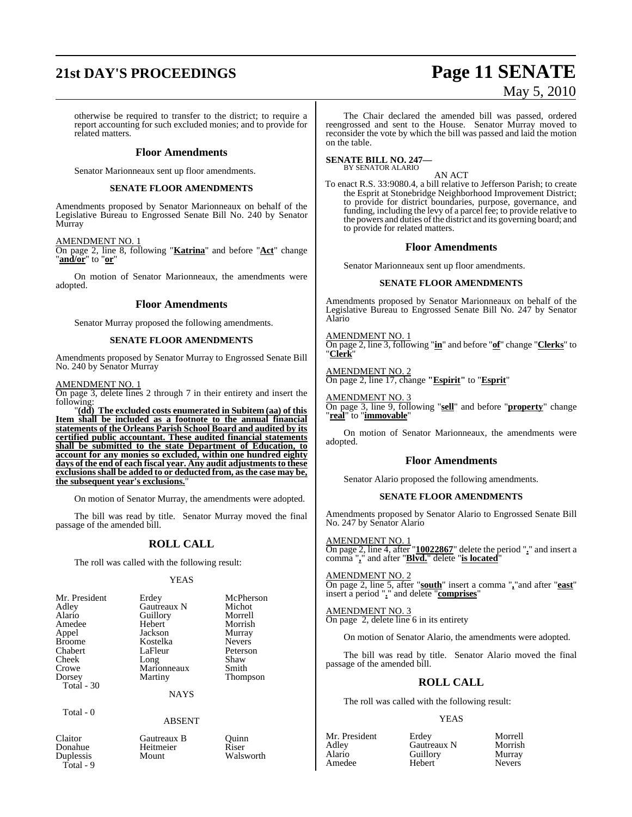# **21st DAY'S PROCEEDINGS Page 11 SENATE** May 5, 2010

otherwise be required to transfer to the district; to require a report accounting for such excluded monies; and to provide for related matters.

#### **Floor Amendments**

Senator Marionneaux sent up floor amendments.

#### **SENATE FLOOR AMENDMENTS**

Amendments proposed by Senator Marionneaux on behalf of the Legislative Bureau to Engrossed Senate Bill No. 240 by Senator Murray

AMENDMENT NO. 1

On page 2, line 8, following "**Katrina**" and before "**Act**" change "**and/or**" to "**or**"

On motion of Senator Marionneaux, the amendments were adopted.

#### **Floor Amendments**

Senator Murray proposed the following amendments.

#### **SENATE FLOOR AMENDMENTS**

Amendments proposed by Senator Murray to Engrossed Senate Bill No. 240 by Senator Murray

#### AMENDMENT NO. 1

On page 3, delete lines 2 through 7 in their entirety and insert the following:

"**(dd) The excluded costs enumerated in Subitem (aa) of this Item shall be included as a footnote to the annual financial statements of the Orleans Parish School Board and audited by its certified public accountant. These audited financial statements shall be submitted to the state Department of Education, to account for any monies so excluded, within one hundred eighty days** of the end of each fiscal year. Any audit adjustments to these **exclusionsshall be added to or deducted from, asthe case may be, the subsequent year's exclusions.**"

On motion of Senator Murray, the amendments were adopted.

The bill was read by title. Senator Murray moved the final passage of the amended bill.

#### **ROLL CALL**

The roll was called with the following result:

#### YEAS

|             | McPherson     |
|-------------|---------------|
| Gautreaux N | Michot        |
| Guillory    | Morrell       |
| Hebert      | Morrish       |
| Jackson     | Murray        |
| Kostelka    | <b>Nevers</b> |
| LaFleur     | Peterson      |
|             | Shaw          |
| Marionneaux | Smith         |
| Martiny     | Thompson      |
|             |               |
| <b>NAYS</b> |               |
|             | Erdey<br>Long |

Total - 0

#### ABSENT

Duplessis Total - 9

Claitor Gautreaux B Quinn Heitmeier Riser<br>
Mount Walsworth

The Chair declared the amended bill was passed, ordered reengrossed and sent to the House. Senator Murray moved to reconsider the vote by which the bill was passed and laid the motion on the table.

#### **SENATE BILL NO. 247—** BY SENATOR ALARIO

AN ACT

To enact R.S. 33:9080.4, a bill relative to Jefferson Parish; to create the Esprit at Stonebridge Neighborhood Improvement District; to provide for district boundaries, purpose, governance, and funding, including the levy of a parcel fee; to provide relative to the powers and duties of the district and its governing board; and to provide for related matters.

#### **Floor Amendments**

Senator Marionneaux sent up floor amendments.

#### **SENATE FLOOR AMENDMENTS**

Amendments proposed by Senator Marionneaux on behalf of the Legislative Bureau to Engrossed Senate Bill No. 247 by Senator Alario

AMENDMENT NO. 1 On page 2, line 3, following "**in**" and before "**of**" change "**Clerks**" to "**Clerk**"

AMENDMENT NO. 2 On page 2, line 17, change **"Espirit"** to "**Esprit**"

#### AMENDMENT NO. 3

On page 3, line 9, following "**sell**" and before "**property**" change "**real**" to "**immovable**"

On motion of Senator Marionneaux, the amendments were adopted.

#### **Floor Amendments**

Senator Alario proposed the following amendments.

#### **SENATE FLOOR AMENDMENTS**

Amendments proposed by Senator Alario to Engrossed Senate Bill No. 247 by Senator Alario

AMENDMENT NO. 1 On page 2, line 4, after "**10022867**" delete the period "**.**" and insert a comma "**,**" and after "**Blvd.**" delete "**is located**"

AMENDMENT NO. 2 On page 2, line 5, after "**south**" insert a comma "**,**"and after "**east**" insert a period "**.**" and delete "**comprises**"

AMENDMENT NO. 3 On page 2, delete line 6 in its entirety

On motion of Senator Alario, the amendments were adopted.

The bill was read by title. Senator Alario moved the final passage of the amended bill.

### **ROLL CALL**

The roll was called with the following result:

#### YEAS

Adley Gautreaux N Morrish Amedee

Mr. President Erdey Morrell<br>Adley Gautreaux N Morrish Aussum Guillory<br>
Hebert Mevers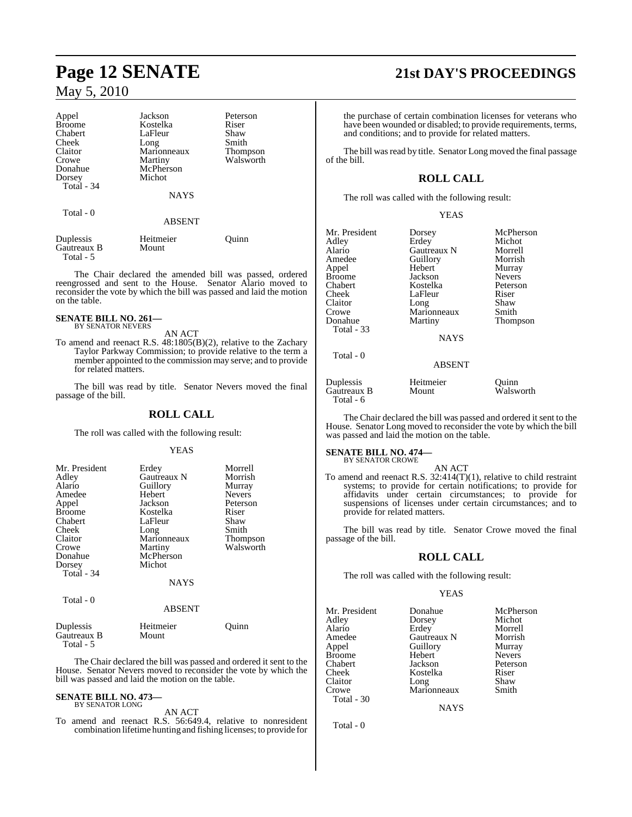#### Appel Jackson Peterson<br>Broome Kostelka Riser Broome Kostelka Riser<br>Chabert LaFleur Shaw Chabert LaFleur Shaw<br>Cheek Long Smith Cheek Long Smith<br>Claitor Marionneaux Thompson Marionneaux<br>Martiny Crowe Martiny Walsworth<br>
Donahue McPherson Donahue McPherson<br>Dorsey Michot Michot Total - 34 NAYS Total - 0 ABSENT

Duplessis Heitmeier Quinn Gautreaux B Total - 5

The Chair declared the amended bill was passed, ordered reengrossed and sent to the House. Senator Alario moved to reconsider the vote by which the bill was passed and laid the motion on the table.

#### **SENATE BILL NO. 261—** BY SENATOR NEVERS

AN ACT

To amend and reenact R.S. 48:1805(B)(2), relative to the Zachary Taylor Parkway Commission; to provide relative to the term a member appointed to the commission may serve; and to provide for related matters.

The bill was read by title. Senator Nevers moved the final passage of the bill.

### **ROLL CALL**

The roll was called with the following result:

#### YEAS

| Mr. President<br>Adley<br>Alario<br>Amedee<br>Appel<br><b>Broome</b><br>Chabert<br>Cheek<br>Claitor<br>Crowe<br>Donahue<br>Dorsey<br>Total $-34$ | Erdey<br>Gautreaux N<br>Guillory<br>Hebert<br>Jackson<br>Kostelka<br>LaFleur<br>Long<br>Marionneaux<br>Martiny<br>McPherson<br>Michot | Morrell<br>Morrish<br>Murray<br><b>Nevers</b><br>Peterson<br>Riser<br>Shaw<br>Smith<br><b>Thompson</b><br>Walsworth |
|--------------------------------------------------------------------------------------------------------------------------------------------------|---------------------------------------------------------------------------------------------------------------------------------------|---------------------------------------------------------------------------------------------------------------------|
|                                                                                                                                                  | <b>NAYS</b>                                                                                                                           |                                                                                                                     |
| Total - 0                                                                                                                                        | <b>ABSENT</b>                                                                                                                         |                                                                                                                     |

| Duplessis   | Heitmeier | Ouinn |
|-------------|-----------|-------|
| Gautreaux B | Mount     |       |
| Total - 5   |           |       |

The Chair declared the bill was passed and ordered it sent to the House. Senator Nevers moved to reconsider the vote by which the bill was passed and laid the motion on the table.

#### **SENATE BILL NO. 473—** BY SENATOR LONG

AN ACT

To amend and reenact R.S. 56:649.4, relative to nonresident combination lifetime hunting and fishing licenses; to provide for

# **Page 12 SENATE 21st DAY'S PROCEEDINGS**

the purchase of certain combination licenses for veterans who have been wounded or disabled; to provide requirements, terms, and conditions; and to provide for related matters.

The bill was read by title. Senator Long moved the final passage of the bill.

## **ROLL CALL**

The roll was called with the following result:

#### YEAS

| Mr. President     | Dorsey        | McPherson     |
|-------------------|---------------|---------------|
| Adley             | Erdey         | Michot        |
| Alario            | Gautreaux N   | Morrell       |
| Amedee            | Guillory      | Morrish       |
| Appel             | Hebert        | Murray        |
| <b>Broome</b>     | Jackson       | <b>Nevers</b> |
| Chabert           | Kostelka      | Peterson      |
| Cheek             | LaFleur       | Riser         |
| Claitor           | Long          | Shaw          |
| Crowe             | Marionneaux   | Smith         |
| Donahue           | Martiny       | Thompson      |
| <b>Total - 33</b> | <b>NAYS</b>   |               |
| Total - 0         | <b>ABSENT</b> |               |
| Duplessis         | Heitmeier     | Ouinn         |
| Gautreaux B       | Mount         | Walsworth     |

The Chair declared the bill was passed and ordered it sent to the House. Senator Long moved to reconsider the vote by which the bill was passed and laid the motion on the table.

#### **SENATE BILL NO. 474—** BY SENATOR CROWE

Total - 6

AN ACT To amend and reenact R.S. 32:414(T)(1), relative to child restraint systems; to provide for certain notifications; to provide for affidavits under certain circumstances; to provide for suspensions of licenses under certain circumstances; and to provide for related matters.

The bill was read by title. Senator Crowe moved the final passage of the bill.

#### **ROLL CALL**

The roll was called with the following result:

#### YEAS

| Mr. President | Donahue     | McPherson     |
|---------------|-------------|---------------|
| Adley         | Dorsey      | Michot        |
| Alario        | Erdey       | Morrell       |
| Amedee        | Gautreaux N | Morrish       |
| Appel         | Guillory    | Murray        |
| Broome        | Hebert      | <b>Nevers</b> |
| Chabert       | Jackson     | Peterson      |
| Cheek         | Kostelka    | Riser         |
| Claitor       | Long        | Shaw          |
| Crowe         | Marionneaux | Smith         |
| Total - 30    |             |               |

**NAYS** 

Total - 0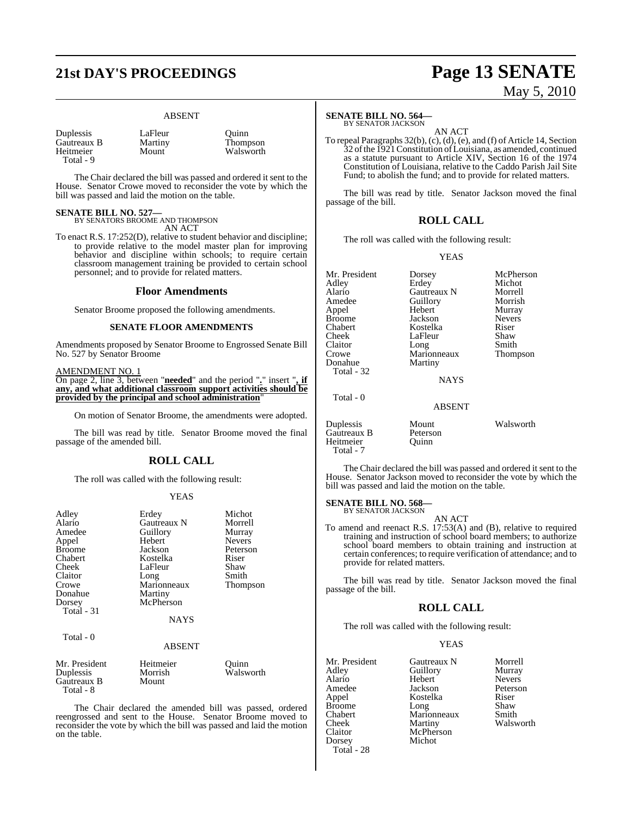# **21st DAY'S PROCEEDINGS Page 13 SENATE**

#### ABSENT

| Duplessis   |  |
|-------------|--|
| Gautreaux B |  |
| Heitmeier   |  |
| Total - 9   |  |

LaFleur Quinn<br>
Martiny Thomp Martiny Thompson<br>Mount Walsworth Walsworth

The Chair declared the bill was passed and ordered it sent to the House. Senator Crowe moved to reconsider the vote by which the bill was passed and laid the motion on the table.

# **SENATE BILL NO. 527—** BY SENATORS BROOME AND THOMPSON

AN ACT

To enact R.S. 17:252(D), relative to student behavior and discipline; to provide relative to the model master plan for improving behavior and discipline within schools; to require certain classroom management training be provided to certain school personnel; and to provide for related matters.

#### **Floor Amendments**

Senator Broome proposed the following amendments.

#### **SENATE FLOOR AMENDMENTS**

Amendments proposed by Senator Broome to Engrossed Senate Bill No. 527 by Senator Broome

#### AMENDMENT NO. 1

On page 2, line 3, between "**needed**" and the period "**.**" insert "**, if any, and what additional classroom support activities should be provided by the principal and school administration**"

On motion of Senator Broome, the amendments were adopted.

The bill was read by title. Senator Broome moved the final passage of the amended bill.

#### **ROLL CALL**

The roll was called with the following result:

#### YEAS

| Adley<br>Alario<br>Amedee<br>Appel<br><b>Broome</b><br>Chabert<br>Cheek<br>Claitor<br>Crowe | Erdey<br>Gautreaux N<br>Guillory<br>Hebert<br>Jackson<br>Kostelka<br>LaFleur<br>Long<br>Marionneaux | Michot<br>Morrell<br>Murray<br><b>Nevers</b><br>Peterson<br>Riser<br>Shaw<br>Smith<br>Thompson |
|---------------------------------------------------------------------------------------------|-----------------------------------------------------------------------------------------------------|------------------------------------------------------------------------------------------------|
| Donahue<br>Dorsey<br>Total - 31                                                             | Martiny<br>McPherson<br><b>NAYS</b>                                                                 |                                                                                                |
| Total - 0                                                                                   | <b>ABSENT</b>                                                                                       |                                                                                                |
| Mr. President<br>Duplessis<br>Gautreaux B<br>Total - 8                                      | Heitmeier<br>Morrish<br>Mount                                                                       | Ouinn<br>Walsworth                                                                             |

The Chair declared the amended bill was passed, ordered reengrossed and sent to the House. Senator Broome moved to reconsider the vote by which the bill was passed and laid the motion on the table.

#### **SENATE BILL NO. 564—**

BY SENATOR JACKSON AN ACT

To repeal Paragraphs 32(b), (c), (d), (e), and (f) of Article 14, Section 32 ofthe 1921Constitution ofLouisiana, as amended, continued as a statute pursuant to Article XIV, Section 16 of the 1974 Constitution of Louisiana, relative to the Caddo Parish Jail Site Fund; to abolish the fund; and to provide for related matters.

The bill was read by title. Senator Jackson moved the final passage of the bill.

#### **ROLL CALL**

The roll was called with the following result:

#### YEAS

| Mr. President | Dorsey      | McPherson     |
|---------------|-------------|---------------|
| Adley         | Erdey       | Michot        |
| Alario        | Gautreaux N | Morrell       |
| Amedee        | Guillory    | Morrish       |
| Appel         | Hebert      | Murray        |
| <b>Broome</b> | Jackson     | <b>Nevers</b> |
| Chabert       | Kostelka    | Riser         |
| Cheek         | LaFleur     | Shaw          |
| Claitor       | Long        | Smith         |
| Crowe         | Marionneaux | Thompson      |
| Donahue       | Martiny     |               |
| Total - 32    |             |               |
|               | <b>NAYS</b> |               |
| Total - 0     |             |               |

## NAYS

#### ABSENT

Duplessis Mount Walsworth

The Chair declared the bill was passed and ordered it sent to the House. Senator Jackson moved to reconsider the vote by which the bill was passed and laid the motion on the table.

### **SENATE BILL NO. 568—**

Gautreaux B Peterson<br>
Heitmeier Duinn

Heitmeier Total - 7

BY SENATOR JACKSON

- AN ACT
- To amend and reenact R.S. 17:53(A) and (B), relative to required training and instruction of school board members; to authorize school board members to obtain training and instruction at certain conferences; to require verification of attendance; and to provide for related matters.

The bill was read by title. Senator Jackson moved the final passage of the bill.

#### **ROLL CALL**

The roll was called with the following result:

#### YEAS

| Mr. President | Gautreaux N | Morrell       |
|---------------|-------------|---------------|
| Adley         | Guillory    | Murray        |
| Alario        | Hebert      | <b>Nevers</b> |
| Amedee        | Jackson     | Peterson      |
| Appel         | Kostelka    | Riser         |
| Broome        | Long        | Shaw          |
| Chabert       | Marionneaux | Smith         |
| Cheek         | Martiny     | Walsworth     |
| Claitor       | McPherson   |               |
| Dorsey        | Michot      |               |
| Total - 28    |             |               |
|               |             |               |

May 5, 2010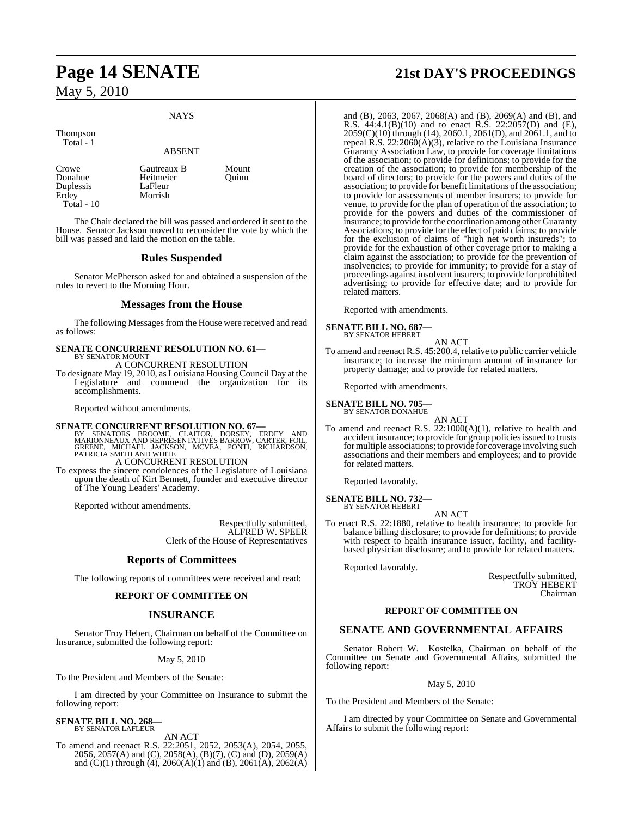#### NAYS

ABSENT

Thompson

Total - 1

Duplessis<br>Erdey Total - 10

Crowe Gautreaux B Mount<br>
Donahue Heitmeier Ouinn Heitmeier<br>LaFleur Morrish

The Chair declared the bill was passed and ordered it sent to the House. Senator Jackson moved to reconsider the vote by which the bill was passed and laid the motion on the table.

#### **Rules Suspended**

Senator McPherson asked for and obtained a suspension of the rules to revert to the Morning Hour.

#### **Messages from the House**

The following Messages from the House were received and read as follows:

**SENATE CONCURRENT RESOLUTION NO. 61—** BY SENATOR MOUNT

A CONCURRENT RESOLUTION

To designate May 19, 2010, as Louisiana Housing Council Day at the Legislature and commend the organization for its accomplishments.

Reported without amendments.

**SENATE CONCURRENT RESOLUTION NO. 67—**<br>BY SENATORS BROOME, CLAITOR, DORSEY, ERDEY AND<br>MARIONNEAUX AND REPRESENTATIVES BARROW, CARTER, FOIL,<br>GREENE, MICHAEL JACKSON, MCVEA, PONTI, RICHARDSON,<br>PATRICIA SMITH AND WHITE A CONCURRENT RESOLUTION

To express the sincere condolences of the Legislature of Louisiana upon the death of Kirt Bennett, founder and executive director of The Young Leaders' Academy.

Reported without amendments.

Respectfully submitted, ALFRED W. SPEER Clerk of the House of Representatives

#### **Reports of Committees**

The following reports of committees were received and read:

#### **REPORT OF COMMITTEE ON**

#### **INSURANCE**

Senator Troy Hebert, Chairman on behalf of the Committee on Insurance, submitted the following report:

#### May 5, 2010

To the President and Members of the Senate:

I am directed by your Committee on Insurance to submit the following report:

#### **SENATE BILL NO. 268—** BY SENATOR LAFLEUR

AN ACT

To amend and reenact R.S. 22:2051, 2052, 2053(A), 2054, 2055, 2056, 2057(A) and (C), 2058(A), (B)(7), (C) and (D), 2059(A) and  $(C)(1)$  through  $(4)$ , 2060 $(A)(1)$  and  $(B)$ , 2061 $(A)$ , 2062 $(A)$ 

# **Page 14 SENATE 21st DAY'S PROCEEDINGS**

and (B), 2063, 2067, 2068(A) and (B), 2069(A) and (B), and R.S. 44:4.1(B)(10) and to enact R.S. 22:2057(D) and (E), 2059(C)(10) through (14), 2060.1, 2061(D), and 2061.1, and to repeal R.S.  $22:2060(A)(3)$ , relative to the Louisiana Insurance Guaranty Association Law, to provide for coverage limitations of the association; to provide for definitions; to provide for the creation of the association; to provide for membership of the board of directors; to provide for the powers and duties of the association; to provide for benefit limitations of the association; to provide for assessments of member insurers; to provide for venue, to provide for the plan of operation of the association; to provide for the powers and duties of the commissioner of insurance; to provide forthe coordination among other Guaranty Associations; to provide for the effect of paid claims; to provide for the exclusion of claims of "high net worth insureds"; to provide for the exhaustion of other coverage prior to making a claim against the association; to provide for the prevention of insolvencies; to provide for immunity; to provide for a stay of proceedings against insolvent insurers; to provide for prohibited advertising; to provide for effective date; and to provide for related matters.

Reported with amendments.

#### **SENATE BILL NO. 687—** BY SENATOR HEBERT

AN ACT

To amend and reenact R.S. 45:200.4, relative to public carrier vehicle insurance; to increase the minimum amount of insurance for property damage; and to provide for related matters.

Reported with amendments.

# **SENATE BILL NO. 705—** BY SENATOR DONAHUE

AN ACT To amend and reenact R.S. 22:1000(A)(1), relative to health and accident insurance; to provide for group policies issued to trusts for multiple associations; to provide for coverage involving such associations and their members and employees; and to provide for related matters.

Reported favorably.

#### **SENATE BILL NO. 732—** BY SENATOR HEBERT

AN ACT

To enact R.S. 22:1880, relative to health insurance; to provide for balance billing disclosure; to provide for definitions; to provide with respect to health insurance issuer, facility, and facilitybased physician disclosure; and to provide for related matters.

Reported favorably.

Respectfully submitted, TROY HEBERT Chairman

#### **REPORT OF COMMITTEE ON**

#### **SENATE AND GOVERNMENTAL AFFAIRS**

Senator Robert W. Kostelka, Chairman on behalf of the Committee on Senate and Governmental Affairs, submitted the following report:

#### May 5, 2010

To the President and Members of the Senate:

I am directed by your Committee on Senate and Governmental Affairs to submit the following report: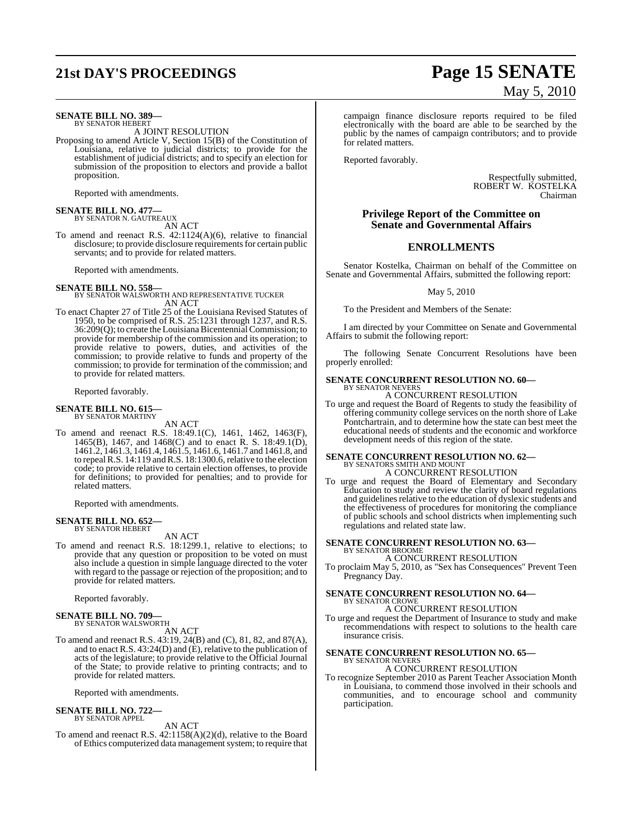# **21st DAY'S PROCEEDINGS Page 15 SENATE**

#### **SENATE BILL NO. 389—** BY SENATOR HEBERT

A JOINT RESOLUTION

Proposing to amend Article V, Section 15(B) of the Constitution of Louisiana, relative to judicial districts; to provide for the establishment of judicial districts; and to specify an election for submission of the proposition to electors and provide a ballot proposition.

Reported with amendments.

# **SENATE BILL NO. 477—** BY SENATOR N. GAUTREAUX

AN ACT

To amend and reenact R.S. 42:1124(A)(6), relative to financial disclosure; to provide disclosure requirements for certain public servants; and to provide for related matters.

Reported with amendments.

**SENATE BILL NO. 558—** BY SENATOR WALSWORTH AND REPRESENTATIVE TUCKER AN ACT

To enact Chapter 27 of Title 25 of the Louisiana Revised Statutes of 1950, to be comprised of R.S. 25:1231 through 1237, and R.S. 36:209(Q); to create the LouisianaBicentennialCommission; to provide for membership of the commission and its operation; to provide relative to powers, duties, and activities of the commission; to provide relative to funds and property of the commission; to provide for termination of the commission; and to provide for related matters.

Reported favorably.

#### **SENATE BILL NO. 615—** BY SENATOR MARTINY

AN ACT

To amend and reenact R.S. 18:49.1(C), 1461, 1462, 1463(F), 1465(B), 1467, and 1468(C) and to enact R. S. 18:49.1(D), 1461.2, 1461.3, 1461.4, 1461.5, 1461.6, 1461.7 and 1461.8, and to repealR.S. 14:119 andR.S. 18:1300.6, relative to the election code; to provide relative to certain election offenses, to provide for definitions; to provided for penalties; and to provide for related matters.

Reported with amendments.

#### **SENATE BILL NO. 652—** BY SENATOR HEBERT

AN ACT

To amend and reenact R.S. 18:1299.1, relative to elections; to provide that any question or proposition to be voted on must also include a question in simple language directed to the voter with regard to the passage or rejection of the proposition; and to provide for related matters.

Reported favorably.

#### **SENATE BILL NO. 709—** BY SENATOR WALSWORTH

AN ACT

To amend and reenact R.S. 43:19, 24(B) and (C), 81, 82, and 87(A), and to enact R.S. 43:24(D) and (E), relative to the publication of acts of the legislature; to provide relative to the Official Journal of the State; to provide relative to printing contracts; and to provide for related matters.

Reported with amendments.

#### **SENATE BILL NO. 722—** BY SENATOR APPEL

AN ACT

To amend and reenact R.S. 42:1158(A)(2)(d), relative to the Board of Ethics computerized data management system; to require that

# May 5, 2010

campaign finance disclosure reports required to be filed electronically with the board are able to be searched by the public by the names of campaign contributors; and to provide for related matters.

Reported favorably.

Respectfully submitted, ROBERT W. KOSTELKA Chairman

### **Privilege Report of the Committee on Senate and Governmental Affairs**

## **ENROLLMENTS**

Senator Kostelka, Chairman on behalf of the Committee on Senate and Governmental Affairs, submitted the following report:

May 5, 2010

To the President and Members of the Senate:

I am directed by your Committee on Senate and Governmental Affairs to submit the following report:

The following Senate Concurrent Resolutions have been properly enrolled:

## **SENATE CONCURRENT RESOLUTION NO. 60—** BY SENATOR NEVERS A CONCURRENT RESOLUTION

To urge and request the Board of Regents to study the feasibility of offering community college services on the north shore of Lake Pontchartrain, and to determine how the state can best meet the educational needs of students and the economic and workforce development needs of this region of the state.

#### **SENATE CONCURRENT RESOLUTION NO. 62—** BY SENATORS SMITH AND MOUNT A CONCURRENT RESOLUTION

To urge and request the Board of Elementary and Secondary Education to study and review the clarity of board regulations and guidelines relative to the education of dyslexic students and the effectiveness of procedures for monitoring the compliance of public schools and school districts when implementing such regulations and related state law.

#### **SENATE CONCURRENT RESOLUTION NO. 63—** BY SENATOR BROOME

A CONCURRENT RESOLUTION

To proclaim May 5, 2010, as "Sex has Consequences" Prevent Teen Pregnancy Day.

#### **SENATE CONCURRENT RESOLUTION NO. 64—** BY SENATOR CROWE

A CONCURRENT RESOLUTION

To urge and request the Department of Insurance to study and make recommendations with respect to solutions to the health care insurance crisis.

#### **SENATE CONCURRENT RESOLUTION NO. 65—** BY SENATOR NEVERS

## A CONCURRENT RESOLUTION

To recognize September 2010 as Parent Teacher Association Month in Louisiana, to commend those involved in their schools and communities, and to encourage school and community participation.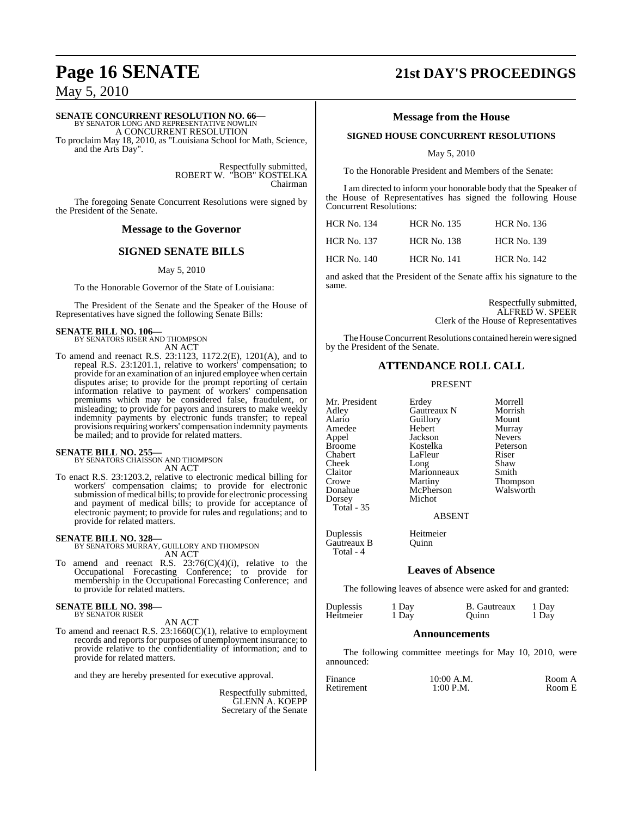#### **SENATE CONCURRENT RESOLUTION NO. 66—**

BY SENATOR LONG AND REPRESENTATIVE NOWLIN A CONCURRENT RESOLUTION

To proclaim May 18, 2010, as "Louisiana School for Math, Science, and the Arts Day".

> Respectfully submitted, ROBERT W. "BOB" KOSTELKA Chairman

The foregoing Senate Concurrent Resolutions were signed by the President of the Senate.

#### **Message to the Governor**

#### **SIGNED SENATE BILLS**

May 5, 2010

To the Honorable Governor of the State of Louisiana:

The President of the Senate and the Speaker of the House of Representatives have signed the following Senate Bills:

# **SENATE BILL NO. 106—** BY SENATORS RISER AND THOMPSON

AN ACT

To amend and reenact R.S. 23:1123, 1172.2(E), 1201(A), and to repeal R.S. 23:1201.1, relative to workers' compensation; to provide for an examination of an injured employee when certain disputes arise; to provide for the prompt reporting of certain information relative to payment of workers' compensation premiums which may be considered false, fraudulent, or misleading; to provide for payors and insurers to make weekly indemnity payments by electronic funds transfer; to repeal provisions requiring workers' compensation indemnity payments be mailed; and to provide for related matters.

# **SENATE BILL NO. 255—** BY SENATORS CHAISSON AND THOMPSON

AN ACT

To enact R.S. 23:1203.2, relative to electronic medical billing for workers' compensation claims; to provide for electronic submission of medical bills; to provide for electronic processing and payment of medical bills; to provide for acceptance of electronic payment; to provide for rules and regulations; and to provide for related matters.

#### **SENATE BILL NO. 328—**

BY SENATORS MURRAY, GUILLORY AND THOMPSON AN ACT

To amend and reenact R.S.  $23:76(C)(4)(i)$ , relative to the Occupational Forecasting Conference; to provide for membership in the Occupational Forecasting Conference; and to provide for related matters.

#### **SENATE BILL NO. 398—** BY SENATOR RISER

AN ACT

To amend and reenact R.S.  $23:1660(C)(1)$ , relative to employment records and reports for purposes of unemployment insurance; to provide relative to the confidentiality of information; and to provide for related matters.

and they are hereby presented for executive approval.

Respectfully submitted, GLENN A. KOEPP Secretary of the Senate

# **Page 16 SENATE 21st DAY'S PROCEEDINGS**

#### **Message from the House**

#### **SIGNED HOUSE CONCURRENT RESOLUTIONS**

May 5, 2010

To the Honorable President and Members of the Senate:

I am directed to inform your honorable body that the Speaker of the House of Representatives has signed the following House Concurrent Resolutions:

| <b>HCR No. 134</b> | <b>HCR No. 135</b> | <b>HCR No. 136</b> |
|--------------------|--------------------|--------------------|
| <b>HCR No. 137</b> | <b>HCR No. 138</b> | <b>HCR No. 139</b> |
| HCR No. 140        | <b>HCR No. 141</b> | <b>HCR No. 142</b> |

and asked that the President of the Senate affix his signature to the same.

> Respectfully submitted, ALFRED W. SPEER Clerk of the House of Representatives

The House Concurrent Resolutions contained herein were signed by the President of the Senate.

### **ATTENDANCE ROLL CALL**

#### PRESENT

Claitor Marionneaux<br>Crowe Martiny Dorsey Michot Total - 35

Total - 4

Mr. President Erdey Morrell Adley Gautreaux N Morrish Alario Guillory<br>
Hebert Murray Amedee Hebert Murray<br>Appel Heckson Nevers Appel Jackson Nevers<br>Broome Kostelka Peterson Broome Kostelka Peters<br>Chabert LaFleur Riser LaFleur Cheek Long Shaw<br>Claitor Marionneaux Smith Crowe Martiny Thompson<br>
Donahue McPherson Walsworth McPherson<br>Michot

ABSENT

Duplessis Heitmeier Gautreaux B Quinn

### **Leaves of Absence**

The following leaves of absence were asked for and granted:

| Duplessis | 1 Day | <b>B.</b> Gautreaux | 1 Day |
|-----------|-------|---------------------|-------|
| Heitmeier | 1 Day | Ouinn               | 1 Day |
|           |       |                     |       |

#### **Announcements**

The following committee meetings for May 10, 2010, were announced:

| Finance    | 10:00 A.M.  | Room A |
|------------|-------------|--------|
| Retirement | $1:00$ P.M. | Room E |